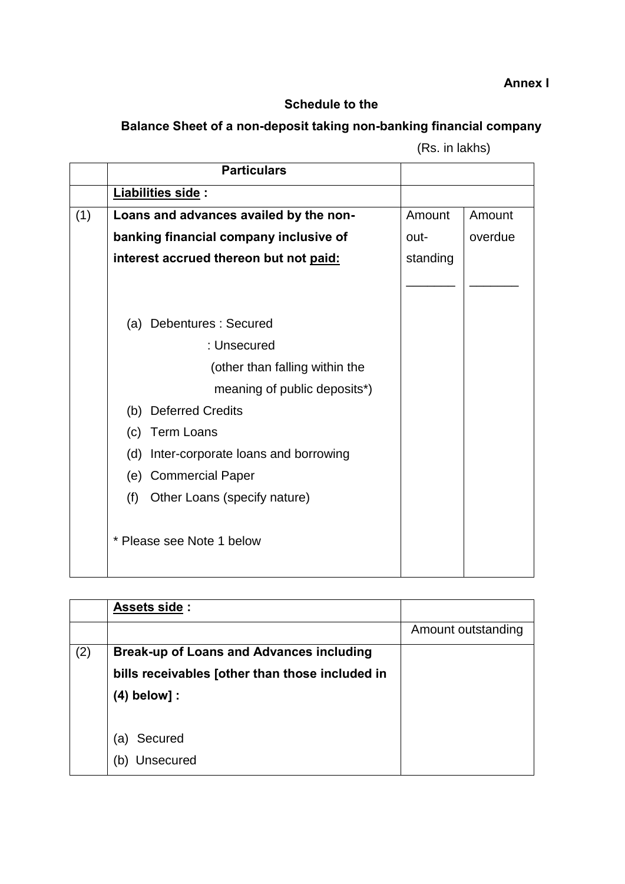**Annex I**

# **Schedule to the**

# **Balance Sheet of a non-deposit taking non-banking financial company**

(Rs. in lakhs)

|     | <b>Particulars</b>                         |          |         |
|-----|--------------------------------------------|----------|---------|
|     | Liabilities side :                         |          |         |
| (1) | Loans and advances availed by the non-     | Amount   | Amount  |
|     | banking financial company inclusive of     | out-     | overdue |
|     | interest accrued thereon but not paid:     | standing |         |
|     |                                            |          |         |
|     |                                            |          |         |
|     | (a) Debentures : Secured                   |          |         |
|     | : Unsecured                                |          |         |
|     | (other than falling within the             |          |         |
|     | meaning of public deposits <sup>*</sup> )  |          |         |
|     | <b>Deferred Credits</b><br>(b)             |          |         |
|     | <b>Term Loans</b><br>(c)                   |          |         |
|     | Inter-corporate loans and borrowing<br>(d) |          |         |
|     | (e) Commercial Paper                       |          |         |
|     | (f)<br>Other Loans (specify nature)        |          |         |
|     |                                            |          |         |
|     | * Please see Note 1 below                  |          |         |
|     |                                            |          |         |
|     |                                            |          |         |

|     | Assets side:                                    |                    |
|-----|-------------------------------------------------|--------------------|
|     |                                                 | Amount outstanding |
| (2) | <b>Break-up of Loans and Advances including</b> |                    |
|     | bills receivables [other than those included in |                    |
|     | $(4)$ below] :                                  |                    |
|     |                                                 |                    |
|     | Secured<br>a)                                   |                    |
|     | Unsecured<br>(b)                                |                    |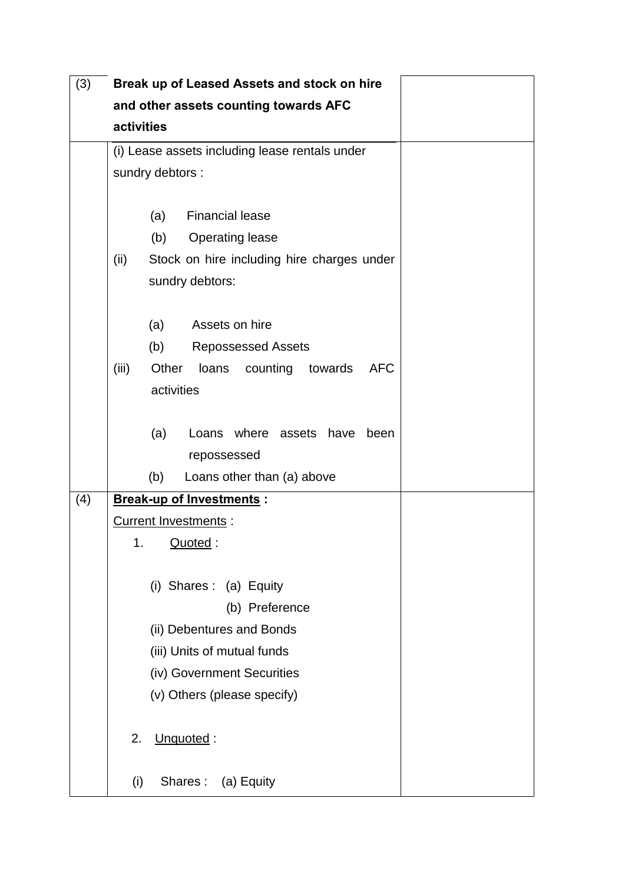| (3) | Break up of Leased Assets and stock on hire               |
|-----|-----------------------------------------------------------|
|     | and other assets counting towards AFC                     |
|     | activities                                                |
|     | (i) Lease assets including lease rentals under            |
|     | sundry debtors :                                          |
|     |                                                           |
|     | <b>Financial lease</b><br>(a)                             |
|     | (b)<br><b>Operating lease</b>                             |
|     | Stock on hire including hire charges under<br>(ii)        |
|     | sundry debtors:                                           |
|     |                                                           |
|     | Assets on hire<br>(a)                                     |
|     | (b)<br><b>Repossessed Assets</b>                          |
|     | counting towards<br><b>AFC</b><br>(iii)<br>Other<br>loans |
|     | activities                                                |
|     |                                                           |
|     | (a)<br>Loans where assets have<br>been                    |
|     | repossessed                                               |
|     | (b)<br>Loans other than (a) above                         |
| (4) | <b>Break-up of Investments:</b>                           |
|     | Current Investments :                                     |
|     | 1.<br><u> Quoted</u> :                                    |
|     |                                                           |
|     | (i) Shares: (a) Equity                                    |
|     | (b) Preference                                            |
|     | (ii) Debentures and Bonds                                 |
|     | (iii) Units of mutual funds                               |
|     | (iv) Government Securities                                |
|     | (v) Others (please specify)                               |
|     | 2.<br>Unquoted:                                           |
|     | Shares:<br>(a) Equity<br>(i)                              |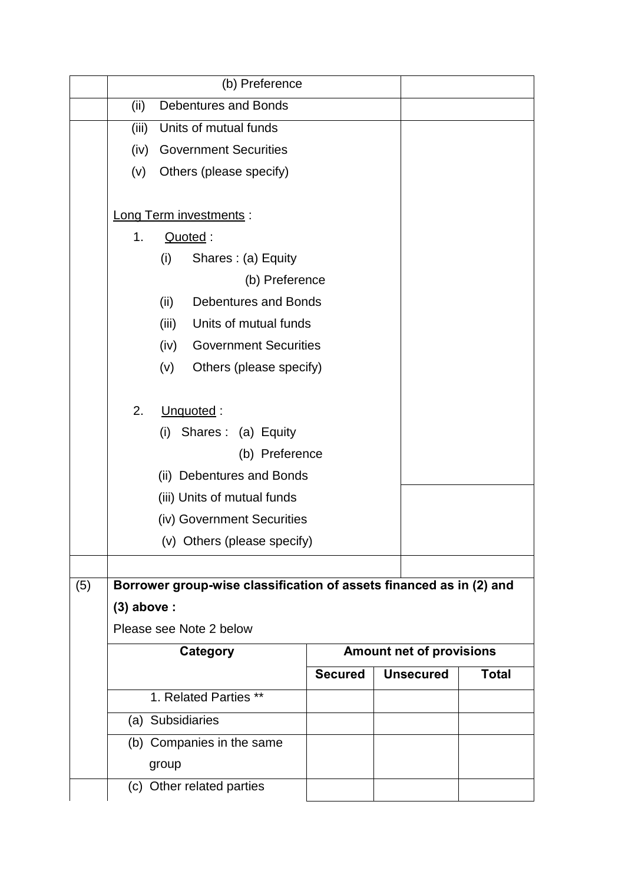|     |               |       | (b) Preference                                                      |                  |                                 |  |
|-----|---------------|-------|---------------------------------------------------------------------|------------------|---------------------------------|--|
|     | (ii)          |       | <b>Debentures and Bonds</b>                                         |                  |                                 |  |
|     | (iii)         |       | Units of mutual funds                                               |                  |                                 |  |
|     | (iv)          |       | <b>Government Securities</b>                                        |                  |                                 |  |
|     | (v)           |       | Others (please specify)                                             |                  |                                 |  |
|     |               |       |                                                                     |                  |                                 |  |
|     |               |       | Long Term investments:                                              |                  |                                 |  |
|     | 1.            |       | Quoted:                                                             |                  |                                 |  |
|     |               | (i)   | Shares: (a) Equity                                                  |                  |                                 |  |
|     |               |       | (b) Preference                                                      |                  |                                 |  |
|     |               | (ii)  | <b>Debentures and Bonds</b>                                         |                  |                                 |  |
|     |               | (iii) | Units of mutual funds                                               |                  |                                 |  |
|     |               | (iv)  | <b>Government Securities</b>                                        |                  |                                 |  |
|     |               | (v)   | Others (please specify)                                             |                  |                                 |  |
|     |               |       |                                                                     |                  |                                 |  |
|     | 2.            |       | Unquoted:                                                           |                  |                                 |  |
|     |               | (i)   | Shares: (a) Equity                                                  |                  |                                 |  |
|     |               |       | (b) Preference                                                      |                  |                                 |  |
|     |               |       | (ii) Debentures and Bonds                                           |                  |                                 |  |
|     |               |       | (iii) Units of mutual funds                                         |                  |                                 |  |
|     |               |       | (iv) Government Securities                                          |                  |                                 |  |
|     |               |       | (v) Others (please specify)                                         |                  |                                 |  |
|     |               |       | Borrower group-wise classification of assets financed as in (2) and |                  |                                 |  |
| (5) | $(3)$ above : |       |                                                                     |                  |                                 |  |
|     |               |       | Please see Note 2 below                                             |                  |                                 |  |
|     |               |       | Category                                                            |                  | <b>Amount net of provisions</b> |  |
|     |               |       |                                                                     | <b>Unsecured</b> | <b>Total</b>                    |  |
|     |               |       | 1. Related Parties **                                               |                  |                                 |  |
|     |               |       | (a) Subsidiaries                                                    |                  |                                 |  |
|     |               |       | (b) Companies in the same                                           |                  |                                 |  |
|     |               | group |                                                                     |                  |                                 |  |
|     |               |       | (c) Other related parties                                           |                  |                                 |  |
|     |               |       |                                                                     |                  |                                 |  |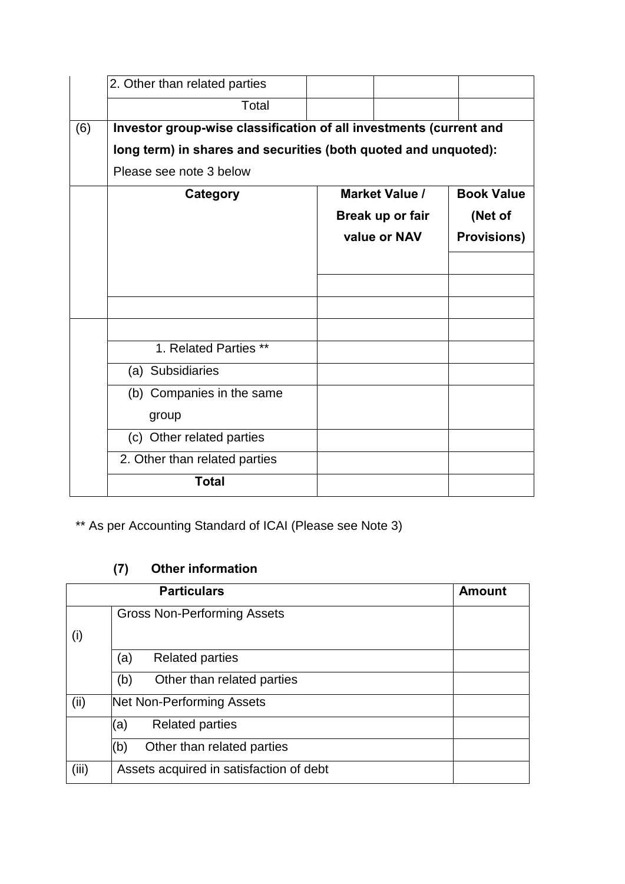|     | 2. Other than related parties                                      |  |                  |                    |  |  |  |  |  |  |  |  |  |  |
|-----|--------------------------------------------------------------------|--|------------------|--------------------|--|--|--|--|--|--|--|--|--|--|
|     | Total                                                              |  |                  |                    |  |  |  |  |  |  |  |  |  |  |
| (6) | Investor group-wise classification of all investments (current and |  |                  |                    |  |  |  |  |  |  |  |  |  |  |
|     | long term) in shares and securities (both quoted and unquoted):    |  |                  |                    |  |  |  |  |  |  |  |  |  |  |
|     | Please see note 3 below                                            |  |                  |                    |  |  |  |  |  |  |  |  |  |  |
|     | <b>Market Value /</b><br><b>Book Value</b><br>Category             |  |                  |                    |  |  |  |  |  |  |  |  |  |  |
|     |                                                                    |  | Break up or fair | (Net of            |  |  |  |  |  |  |  |  |  |  |
|     |                                                                    |  | value or NAV     | <b>Provisions)</b> |  |  |  |  |  |  |  |  |  |  |
|     |                                                                    |  |                  |                    |  |  |  |  |  |  |  |  |  |  |
|     |                                                                    |  |                  |                    |  |  |  |  |  |  |  |  |  |  |
|     |                                                                    |  |                  |                    |  |  |  |  |  |  |  |  |  |  |
|     |                                                                    |  |                  |                    |  |  |  |  |  |  |  |  |  |  |
|     | 1. Related Parties **                                              |  |                  |                    |  |  |  |  |  |  |  |  |  |  |
|     | (a) Subsidiaries                                                   |  |                  |                    |  |  |  |  |  |  |  |  |  |  |
|     | (b) Companies in the same                                          |  |                  |                    |  |  |  |  |  |  |  |  |  |  |
|     | group                                                              |  |                  |                    |  |  |  |  |  |  |  |  |  |  |
|     | (c) Other related parties                                          |  |                  |                    |  |  |  |  |  |  |  |  |  |  |
|     | 2. Other than related parties                                      |  |                  |                    |  |  |  |  |  |  |  |  |  |  |
|     | <b>Total</b>                                                       |  |                  |                    |  |  |  |  |  |  |  |  |  |  |

\*\* As per Accounting Standard of ICAI (Please see Note 3)

# **(7) Other information**

|       | <b>Particulars</b>                      | <b>Amount</b> |
|-------|-----------------------------------------|---------------|
|       | <b>Gross Non-Performing Assets</b>      |               |
| (i)   |                                         |               |
|       | <b>Related parties</b><br>(a)           |               |
|       | Other than related parties<br>(b)       |               |
| (ii)  | Net Non-Performing Assets               |               |
|       | <b>Related parties</b><br>(a)           |               |
|       | (b)<br>Other than related parties       |               |
| (iii) | Assets acquired in satisfaction of debt |               |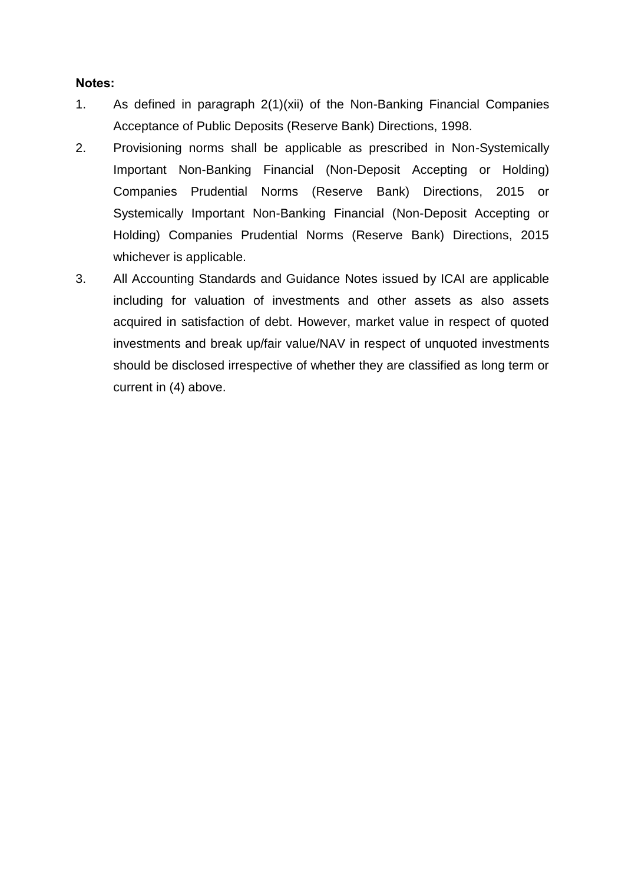## **Notes:**

- 1. As defined in paragraph 2(1)(xii) of the Non-Banking Financial Companies Acceptance of Public Deposits (Reserve Bank) Directions, 1998.
- 2. Provisioning norms shall be applicable as prescribed in Non-Systemically Important Non-Banking Financial (Non-Deposit Accepting or Holding) Companies Prudential Norms (Reserve Bank) Directions, 2015 or Systemically Important Non-Banking Financial (Non-Deposit Accepting or Holding) Companies Prudential Norms (Reserve Bank) Directions, 2015 whichever is applicable.
- 3. All Accounting Standards and Guidance Notes issued by ICAI are applicable including for valuation of investments and other assets as also assets acquired in satisfaction of debt. However, market value in respect of quoted investments and break up/fair value/NAV in respect of unquoted investments should be disclosed irrespective of whether they are classified as long term or current in (4) above.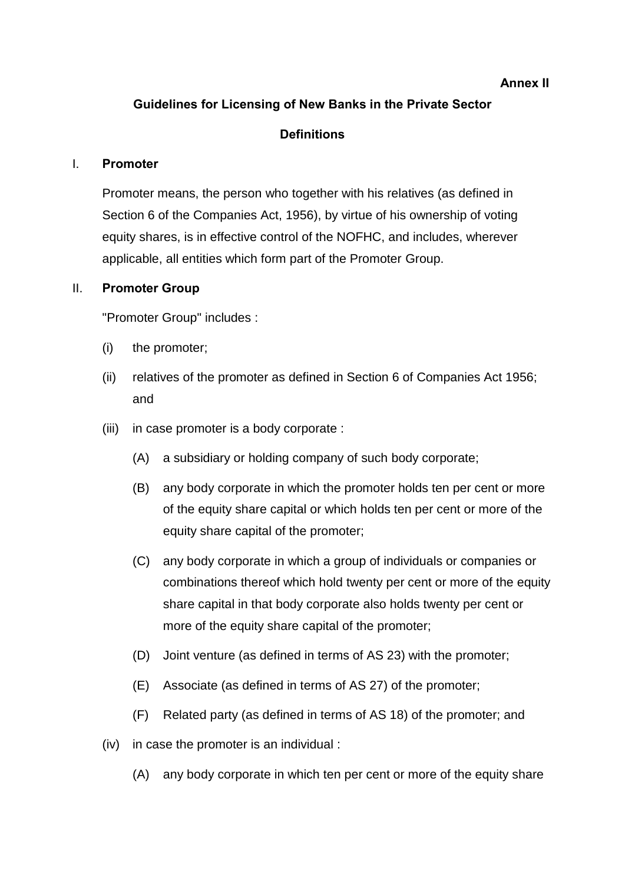### **Annex II**

# **Guidelines for Licensing of New Banks in the Private Sector**

## **Definitions**

### I. **Promoter**

Promoter means, the person who together with his relatives (as defined in Section 6 of the Companies Act, 1956), by virtue of his ownership of voting equity shares, is in effective control of the NOFHC, and includes, wherever applicable, all entities which form part of the Promoter Group.

### II. **Promoter Group**

"Promoter Group" includes :

- (i) the promoter;
- (ii) relatives of the promoter as defined in Section 6 of Companies Act 1956; and
- (iii) in case promoter is a body corporate :
	- (A) a subsidiary or holding company of such body corporate;
	- (B) any body corporate in which the promoter holds ten per cent or more of the equity share capital or which holds ten per cent or more of the equity share capital of the promoter;
	- (C) any body corporate in which a group of individuals or companies or combinations thereof which hold twenty per cent or more of the equity share capital in that body corporate also holds twenty per cent or more of the equity share capital of the promoter;
	- (D) Joint venture (as defined in terms of AS 23) with the promoter;
	- (E) Associate (as defined in terms of AS 27) of the promoter;
	- (F) Related party (as defined in terms of AS 18) of the promoter; and
- (iv) in case the promoter is an individual :
	- (A) any body corporate in which ten per cent or more of the equity share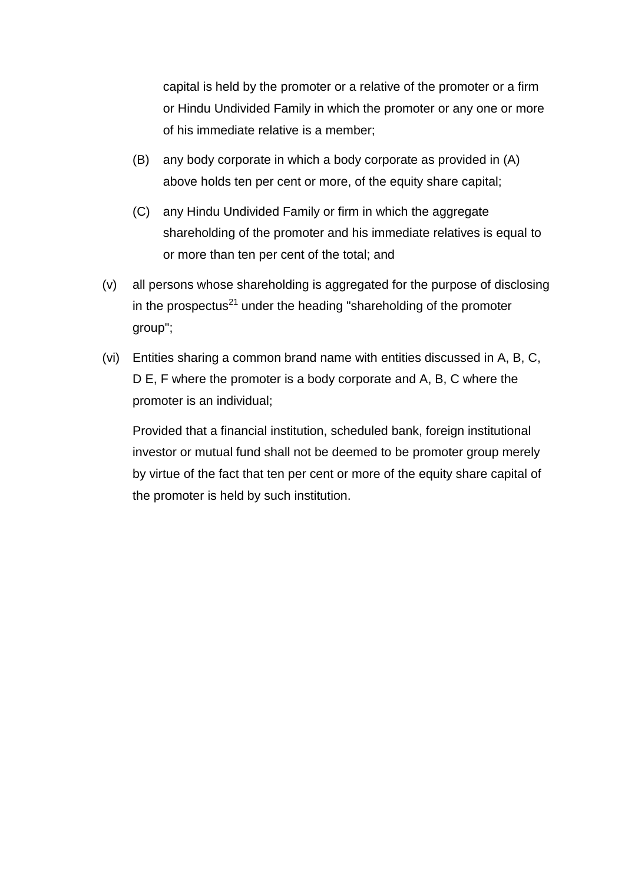capital is held by the promoter or a relative of the promoter or a firm or Hindu Undivided Family in which the promoter or any one or more of his immediate relative is a member;

- (B) any body corporate in which a body corporate as provided in (A) above holds ten per cent or more, of the equity share capital;
- (C) any Hindu Undivided Family or firm in which the aggregate shareholding of the promoter and his immediate relatives is equal to or more than ten per cent of the total; and
- (v) all persons whose shareholding is aggregated for the purpose of disclosing in the prospectus<sup>21</sup> under the heading "shareholding of the promoter group";
- (vi) Entities sharing a common brand name with entities discussed in A, B, C, D E, F where the promoter is a body corporate and A, B, C where the promoter is an individual;

Provided that a financial institution, scheduled bank, foreign institutional investor or mutual fund shall not be deemed to be promoter group merely by virtue of the fact that ten per cent or more of the equity share capital of the promoter is held by such institution.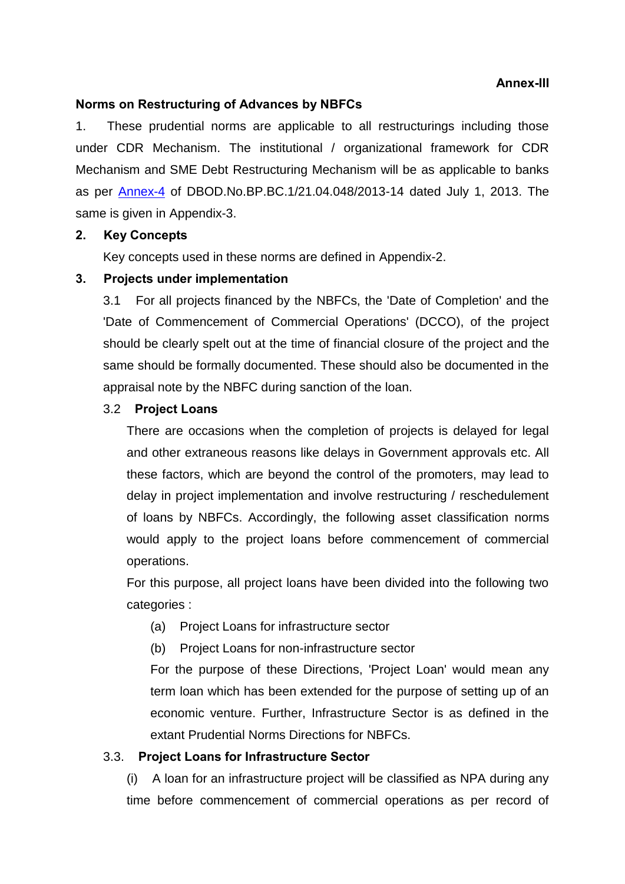# **Annex-III**

## **Norms on Restructuring of Advances by NBFCs**

1. These prudential norms are applicable to all restructurings including those under CDR Mechanism. The institutional / organizational framework for CDR Mechanism and SME Debt Restructuring Mechanism will be as applicable to banks as per [Annex-4](https://rbi.org.in/Scripts/NotificationUser.aspx?Id=8128&Mode=0#AN4) of DBOD.No.BP.BC.1/21.04.048/2013-14 dated July 1, 2013. The same is given in Appendix-3.

# **2. Key Concepts**

Key concepts used in these norms are defined in Appendix-2.

# **3. Projects under implementation**

3.1 For all projects financed by the NBFCs, the 'Date of Completion' and the 'Date of Commencement of Commercial Operations' (DCCO), of the project should be clearly spelt out at the time of financial closure of the project and the same should be formally documented. These should also be documented in the appraisal note by the NBFC during sanction of the loan.

# 3.2 **Project Loans**

There are occasions when the completion of projects is delayed for legal and other extraneous reasons like delays in Government approvals etc. All these factors, which are beyond the control of the promoters, may lead to delay in project implementation and involve restructuring / reschedulement of loans by NBFCs. Accordingly, the following asset classification norms would apply to the project loans before commencement of commercial operations.

For this purpose, all project loans have been divided into the following two categories :

- (a) Project Loans for infrastructure sector
- (b) Project Loans for non-infrastructure sector

For the purpose of these Directions, 'Project Loan' would mean any term loan which has been extended for the purpose of setting up of an economic venture. Further, Infrastructure Sector is as defined in the extant Prudential Norms Directions for NBFCs.

# 3.3. **Project Loans for Infrastructure Sector**

(i) A loan for an infrastructure project will be classified as NPA during any time before commencement of commercial operations as per record of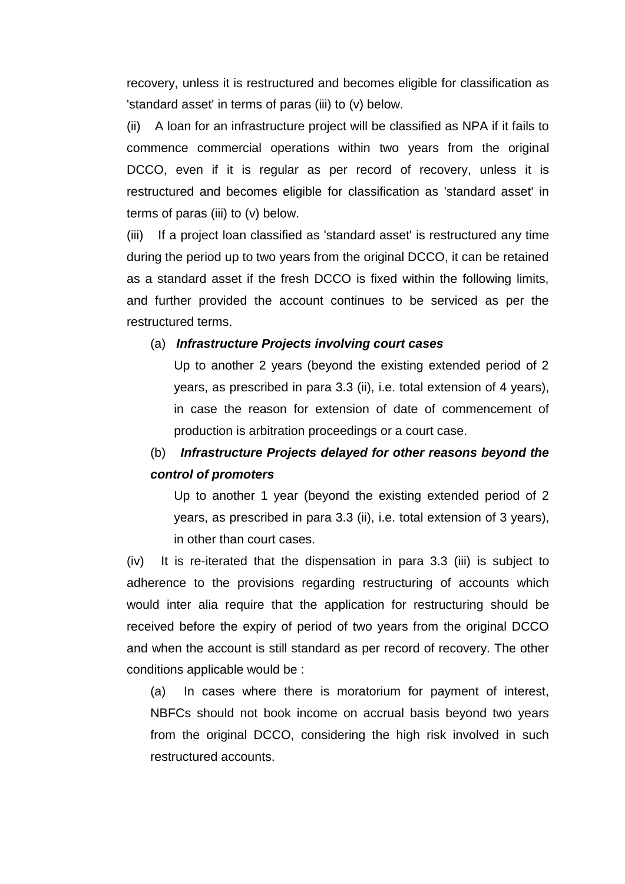recovery, unless it is restructured and becomes eligible for classification as 'standard asset' in terms of paras (iii) to (v) below.

(ii) A loan for an infrastructure project will be classified as NPA if it fails to commence commercial operations within two years from the original DCCO, even if it is regular as per record of recovery, unless it is restructured and becomes eligible for classification as 'standard asset' in terms of paras (iii) to (v) below.

(iii) If a project loan classified as 'standard asset' is restructured any time during the period up to two years from the original DCCO, it can be retained as a standard asset if the fresh DCCO is fixed within the following limits, and further provided the account continues to be serviced as per the restructured terms.

### (a) *Infrastructure Projects involving court cases*

Up to another 2 years (beyond the existing extended period of 2 years, as prescribed in para 3.3 (ii), i.e. total extension of 4 years), in case the reason for extension of date of commencement of production is arbitration proceedings or a court case.

# (b) *Infrastructure Projects delayed for other reasons beyond the control of promoters*

Up to another 1 year (beyond the existing extended period of 2 years, as prescribed in para 3.3 (ii), i.e. total extension of 3 years), in other than court cases.

(iv) It is re-iterated that the dispensation in para 3.3 (iii) is subject to adherence to the provisions regarding restructuring of accounts which would inter alia require that the application for restructuring should be received before the expiry of period of two years from the original DCCO and when the account is still standard as per record of recovery. The other conditions applicable would be :

(a) In cases where there is moratorium for payment of interest, NBFCs should not book income on accrual basis beyond two years from the original DCCO, considering the high risk involved in such restructured accounts.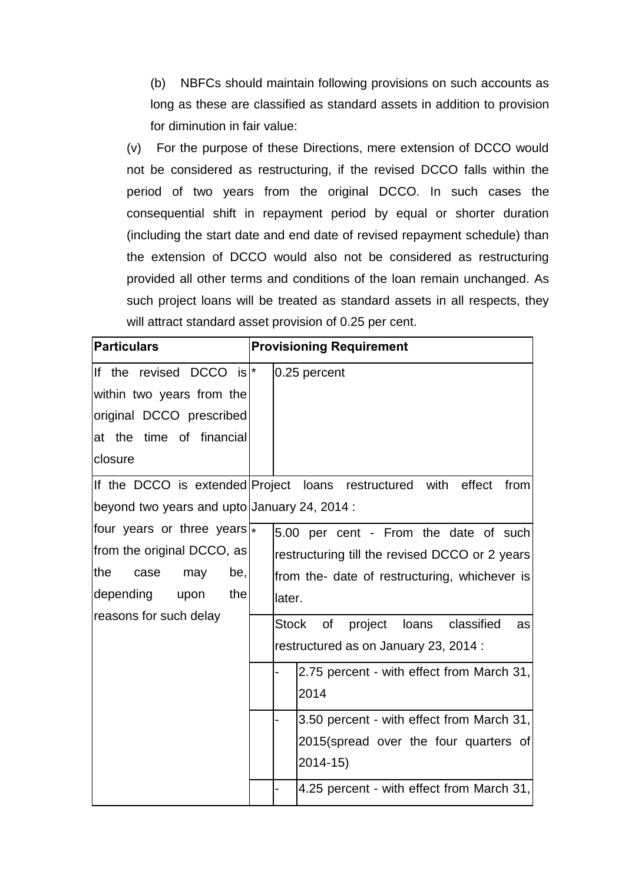(b) NBFCs should maintain following provisions on such accounts as long as these are classified as standard assets in addition to provision for diminution in fair value:

(v) For the purpose of these Directions, mere extension of DCCO would not be considered as restructuring, if the revised DCCO falls within the period of two years from the original DCCO. In such cases the consequential shift in repayment period by equal or shorter duration (including the start date and end date of revised repayment schedule) than the extension of DCCO would also not be considered as restructuring provided all other terms and conditions of the loan remain unchanged. As such project loans will be treated as standard assets in all respects, they will attract standard asset provision of 0.25 per cent.

| Particulars                                                                                                                               | <b>Provisioning Requirement</b>                                                                                                                    |
|-------------------------------------------------------------------------------------------------------------------------------------------|----------------------------------------------------------------------------------------------------------------------------------------------------|
| If the revised DCCO is <sup>*</sup><br>within two years from the<br>original DCCO prescribed<br>at the time of financial<br>closure       | 0.25 percent                                                                                                                                       |
| beyond two years and upto January 24, 2014:                                                                                               | If the DCCO is extended Project loans restructured with effect<br>from                                                                             |
| four years or three years $\overline{\phantom{a}}$<br>from the original DCCO, as<br>the<br>case<br>be,<br>may<br>depending<br>the<br>upon | 5.00 per cent - From the date of such<br>restructuring till the revised DCCO or 2 years<br>from the- date of restructuring, whichever is<br>later. |
| reasons for such delay                                                                                                                    | project loans classified<br><b>Stock</b><br>of<br>as<br>restructured as on January 23, 2014 :<br>2.75 percent - with effect from March 31,<br>2014 |
|                                                                                                                                           | 3.50 percent - with effect from March 31,<br>2015(spread over the four quarters of<br>2014-15)                                                     |
|                                                                                                                                           | 4.25 percent - with effect from March 31,                                                                                                          |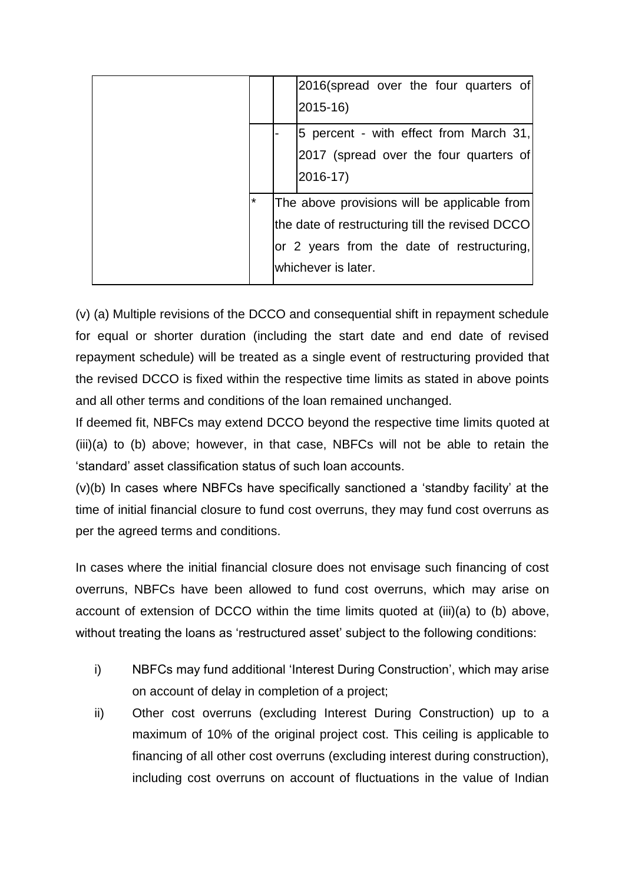|         | 2016(spread over the four quarters of           |
|---------|-------------------------------------------------|
|         | 2015-16)                                        |
|         | 5 percent - with effect from March 31,          |
|         | 2017 (spread over the four quarters of          |
|         | $2016-17$                                       |
| $\star$ | The above provisions will be applicable from    |
|         | the date of restructuring till the revised DCCO |
|         | or 2 years from the date of restructuring,      |
|         | whichever is later.                             |
|         |                                                 |

(v) (a) Multiple revisions of the DCCO and consequential shift in repayment schedule for equal or shorter duration (including the start date and end date of revised repayment schedule) will be treated as a single event of restructuring provided that the revised DCCO is fixed within the respective time limits as stated in above points and all other terms and conditions of the loan remained unchanged.

If deemed fit, NBFCs may extend DCCO beyond the respective time limits quoted at (iii)(a) to (b) above; however, in that case, NBFCs will not be able to retain the 'standard' asset classification status of such loan accounts.

(v)(b) In cases where NBFCs have specifically sanctioned a 'standby facility' at the time of initial financial closure to fund cost overruns, they may fund cost overruns as per the agreed terms and conditions.

In cases where the initial financial closure does not envisage such financing of cost overruns, NBFCs have been allowed to fund cost overruns, which may arise on account of extension of DCCO within the time limits quoted at (iii)(a) to (b) above, without treating the loans as 'restructured asset' subject to the following conditions:

- i) NBFCs may fund additional 'Interest During Construction', which may arise on account of delay in completion of a project;
- ii) Other cost overruns (excluding Interest During Construction) up to a maximum of 10% of the original project cost. This ceiling is applicable to financing of all other cost overruns (excluding interest during construction), including cost overruns on account of fluctuations in the value of Indian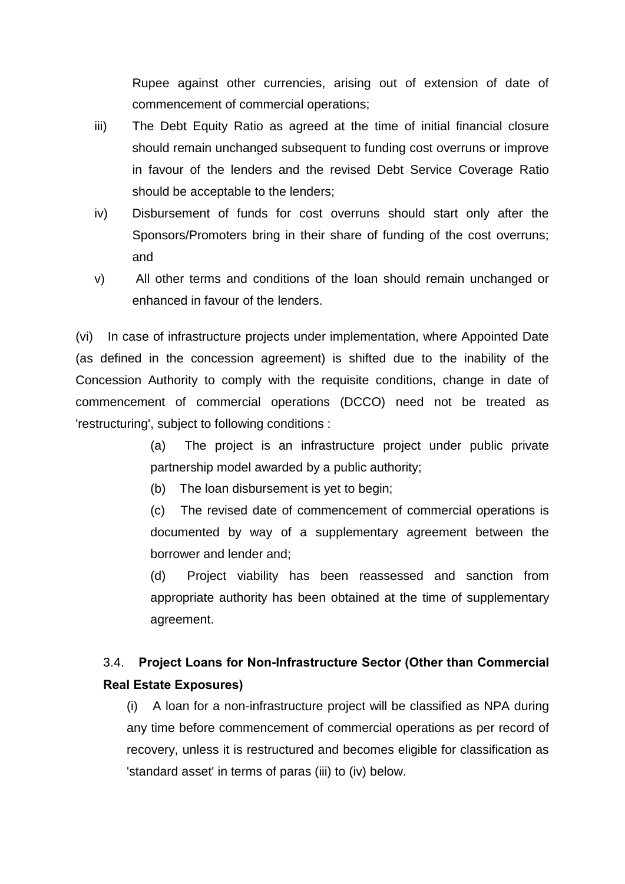Rupee against other currencies, arising out of extension of date of commencement of commercial operations;

- iii) The Debt Equity Ratio as agreed at the time of initial financial closure should remain unchanged subsequent to funding cost overruns or improve in favour of the lenders and the revised Debt Service Coverage Ratio should be acceptable to the lenders;
- iv) Disbursement of funds for cost overruns should start only after the Sponsors/Promoters bring in their share of funding of the cost overruns; and
- v) All other terms and conditions of the loan should remain unchanged or enhanced in favour of the lenders.

(vi) In case of infrastructure projects under implementation, where Appointed Date (as defined in the concession agreement) is shifted due to the inability of the Concession Authority to comply with the requisite conditions, change in date of commencement of commercial operations (DCCO) need not be treated as 'restructuring', subject to following conditions :

> (a) The project is an infrastructure project under public private partnership model awarded by a public authority;

(b) The loan disbursement is yet to begin;

(c) The revised date of commencement of commercial operations is documented by way of a supplementary agreement between the borrower and lender and;

(d) Project viability has been reassessed and sanction from appropriate authority has been obtained at the time of supplementary agreement.

# 3.4. **Project Loans for Non-Infrastructure Sector (Other than Commercial Real Estate Exposures)**

(i) A loan for a non-infrastructure project will be classified as NPA during any time before commencement of commercial operations as per record of recovery, unless it is restructured and becomes eligible for classification as 'standard asset' in terms of paras (iii) to (iv) below.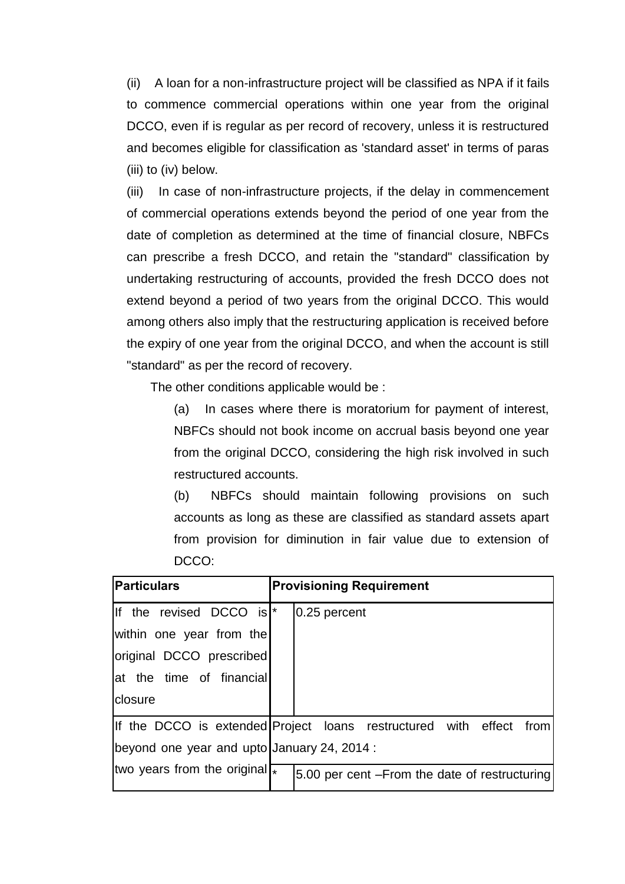(ii) A loan for a non-infrastructure project will be classified as NPA if it fails to commence commercial operations within one year from the original DCCO, even if is regular as per record of recovery, unless it is restructured and becomes eligible for classification as 'standard asset' in terms of paras (iii) to (iv) below.

(iii) In case of non-infrastructure projects, if the delay in commencement of commercial operations extends beyond the period of one year from the date of completion as determined at the time of financial closure, NBFCs can prescribe a fresh DCCO, and retain the "standard" classification by undertaking restructuring of accounts, provided the fresh DCCO does not extend beyond a period of two years from the original DCCO. This would among others also imply that the restructuring application is received before the expiry of one year from the original DCCO, and when the account is still "standard" as per the record of recovery.

The other conditions applicable would be :

(a) In cases where there is moratorium for payment of interest, NBFCs should not book income on accrual basis beyond one year from the original DCCO, considering the high risk involved in such restructured accounts.

(b) NBFCs should maintain following provisions on such accounts as long as these are classified as standard assets apart from provision for diminution in fair value due to extension of DCCO:

| <b>Particulars</b>                                   | <b>Provisioning Requirement</b>                                     |  |  |  |  |  |  |  |
|------------------------------------------------------|---------------------------------------------------------------------|--|--|--|--|--|--|--|
| If the revised DCCO is <sup>*</sup>                  | 0.25 percent                                                        |  |  |  |  |  |  |  |
| within one year from the                             |                                                                     |  |  |  |  |  |  |  |
| original DCCO prescribed                             |                                                                     |  |  |  |  |  |  |  |
| at the time of financial                             |                                                                     |  |  |  |  |  |  |  |
| closure                                              |                                                                     |  |  |  |  |  |  |  |
|                                                      | If the DCCO is extended Project loans restructured with effect from |  |  |  |  |  |  |  |
| beyond one year and upto January 24, 2014:           |                                                                     |  |  |  |  |  |  |  |
| two years from the original $\overline{\phantom{a}}$ | 5.00 per cent – From the date of restructuring                      |  |  |  |  |  |  |  |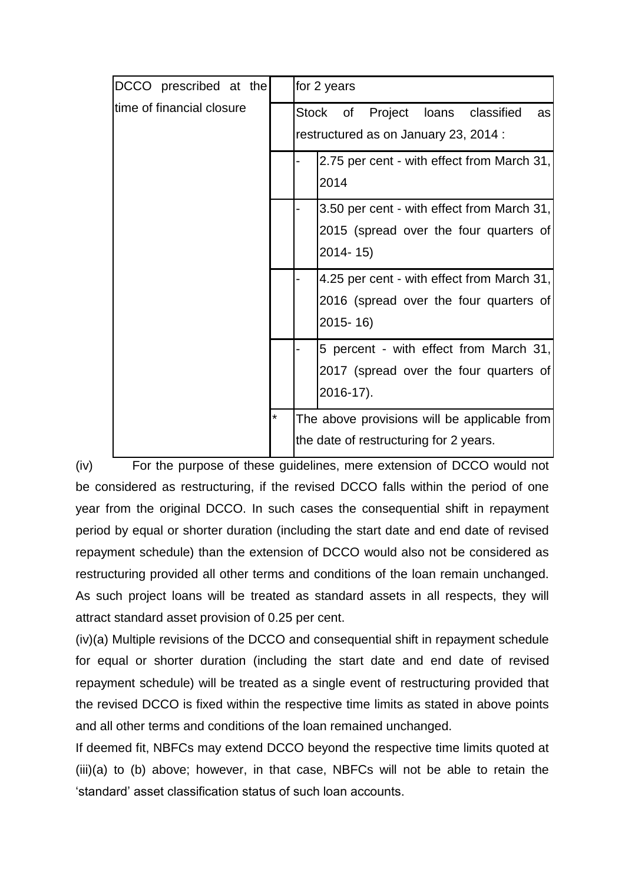| DCCO prescribed at the    |   | for 2 years                                                                                                                            |
|---------------------------|---|----------------------------------------------------------------------------------------------------------------------------------------|
| time of financial closure |   | Stock of Project loans classified<br>as<br>restructured as on January 23, 2014 :<br>2.75 per cent - with effect from March 31,<br>2014 |
|                           |   | 3.50 per cent - with effect from March 31,<br>2015 (spread over the four quarters of<br>2014-15)                                       |
|                           |   | 4.25 per cent - with effect from March 31,<br>2016 (spread over the four quarters of<br>2015-16)                                       |
|                           |   | 5 percent - with effect from March 31,<br>2017 (spread over the four quarters of<br>2016-17).                                          |
|                           | * | The above provisions will be applicable from<br>the date of restructuring for 2 years.                                                 |

(iv) For the purpose of these guidelines, mere extension of DCCO would not be considered as restructuring, if the revised DCCO falls within the period of one year from the original DCCO. In such cases the consequential shift in repayment period by equal or shorter duration (including the start date and end date of revised repayment schedule) than the extension of DCCO would also not be considered as restructuring provided all other terms and conditions of the loan remain unchanged. As such project loans will be treated as standard assets in all respects, they will attract standard asset provision of 0.25 per cent.

(iv)(a) Multiple revisions of the DCCO and consequential shift in repayment schedule for equal or shorter duration (including the start date and end date of revised repayment schedule) will be treated as a single event of restructuring provided that the revised DCCO is fixed within the respective time limits as stated in above points and all other terms and conditions of the loan remained unchanged.

If deemed fit, NBFCs may extend DCCO beyond the respective time limits quoted at (iii)(a) to (b) above; however, in that case, NBFCs will not be able to retain the 'standard' asset classification status of such loan accounts.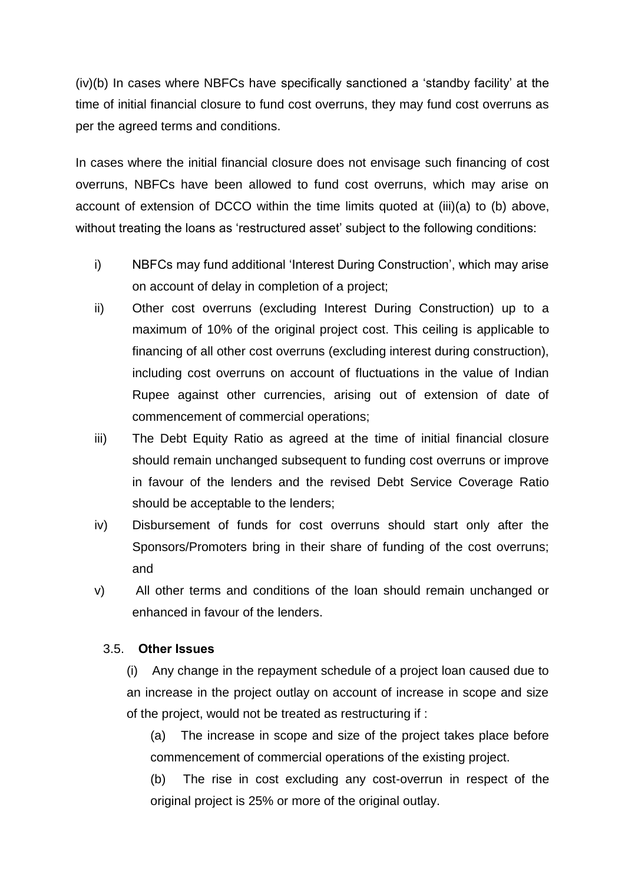(iv)(b) In cases where NBFCs have specifically sanctioned a 'standby facility' at the time of initial financial closure to fund cost overruns, they may fund cost overruns as per the agreed terms and conditions.

In cases where the initial financial closure does not envisage such financing of cost overruns, NBFCs have been allowed to fund cost overruns, which may arise on account of extension of DCCO within the time limits quoted at (iii)(a) to (b) above, without treating the loans as 'restructured asset' subject to the following conditions:

- i) NBFCs may fund additional 'Interest During Construction', which may arise on account of delay in completion of a project;
- ii) Other cost overruns (excluding Interest During Construction) up to a maximum of 10% of the original project cost. This ceiling is applicable to financing of all other cost overruns (excluding interest during construction), including cost overruns on account of fluctuations in the value of Indian Rupee against other currencies, arising out of extension of date of commencement of commercial operations;
- iii) The Debt Equity Ratio as agreed at the time of initial financial closure should remain unchanged subsequent to funding cost overruns or improve in favour of the lenders and the revised Debt Service Coverage Ratio should be acceptable to the lenders;
- iv) Disbursement of funds for cost overruns should start only after the Sponsors/Promoters bring in their share of funding of the cost overruns; and
- v) All other terms and conditions of the loan should remain unchanged or enhanced in favour of the lenders.

## 3.5. **Other Issues**

(i) Any change in the repayment schedule of a project loan caused due to an increase in the project outlay on account of increase in scope and size of the project, would not be treated as restructuring if :

(a) The increase in scope and size of the project takes place before commencement of commercial operations of the existing project.

(b) The rise in cost excluding any cost-overrun in respect of the original project is 25% or more of the original outlay.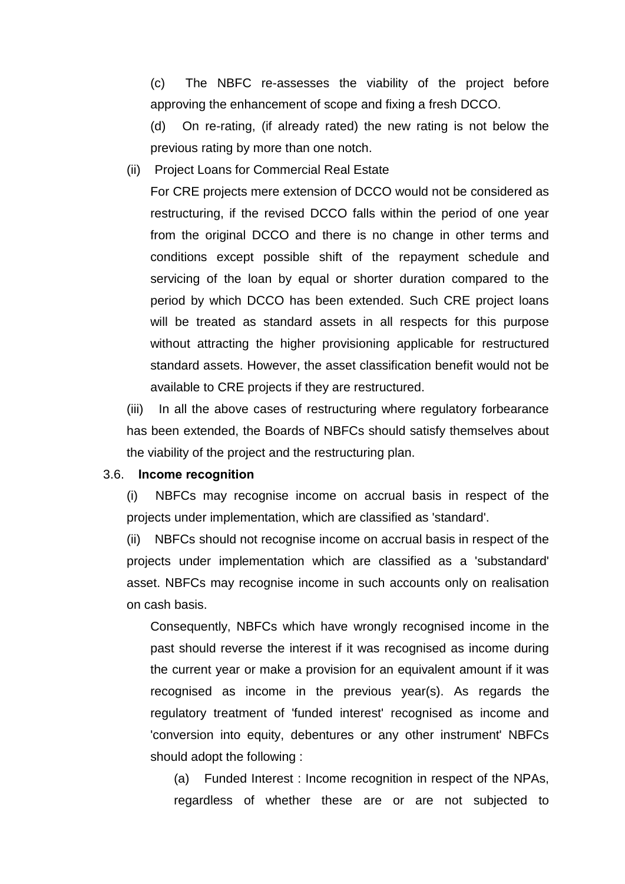(c) The NBFC re-assesses the viability of the project before approving the enhancement of scope and fixing a fresh DCCO.

(d) On re-rating, (if already rated) the new rating is not below the previous rating by more than one notch.

(ii) Project Loans for Commercial Real Estate

For CRE projects mere extension of DCCO would not be considered as restructuring, if the revised DCCO falls within the period of one year from the original DCCO and there is no change in other terms and conditions except possible shift of the repayment schedule and servicing of the loan by equal or shorter duration compared to the period by which DCCO has been extended. Such CRE project loans will be treated as standard assets in all respects for this purpose without attracting the higher provisioning applicable for restructured standard assets. However, the asset classification benefit would not be available to CRE projects if they are restructured.

(iii) In all the above cases of restructuring where regulatory forbearance has been extended, the Boards of NBFCs should satisfy themselves about the viability of the project and the restructuring plan.

#### 3.6. **Income recognition**

(i) NBFCs may recognise income on accrual basis in respect of the projects under implementation, which are classified as 'standard'.

(ii) NBFCs should not recognise income on accrual basis in respect of the projects under implementation which are classified as a 'substandard' asset. NBFCs may recognise income in such accounts only on realisation on cash basis.

Consequently, NBFCs which have wrongly recognised income in the past should reverse the interest if it was recognised as income during the current year or make a provision for an equivalent amount if it was recognised as income in the previous year(s). As regards the regulatory treatment of 'funded interest' recognised as income and 'conversion into equity, debentures or any other instrument' NBFCs should adopt the following :

(a) Funded Interest : Income recognition in respect of the NPAs, regardless of whether these are or are not subjected to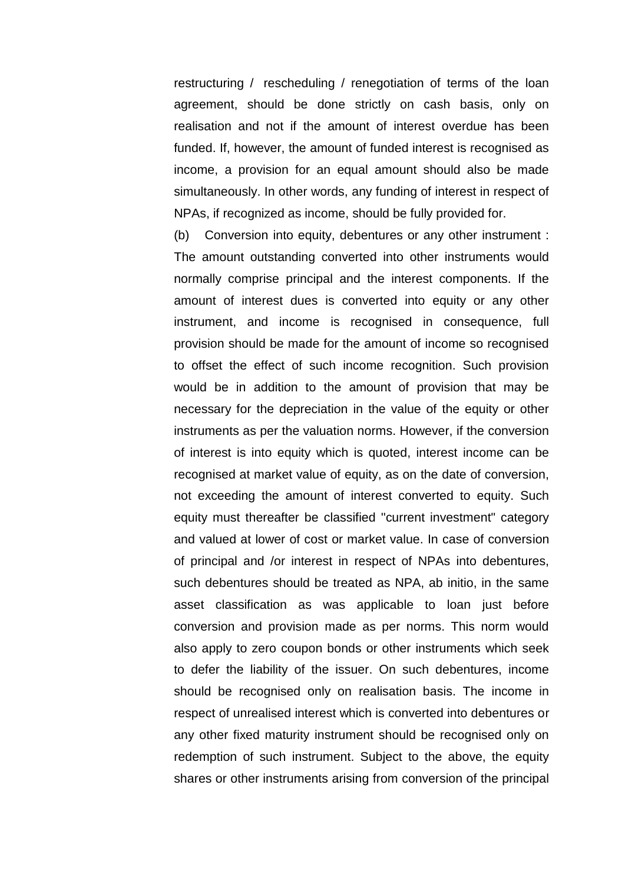restructuring / rescheduling / renegotiation of terms of the loan agreement, should be done strictly on cash basis, only on realisation and not if the amount of interest overdue has been funded. If, however, the amount of funded interest is recognised as income, a provision for an equal amount should also be made simultaneously. In other words, any funding of interest in respect of NPAs, if recognized as income, should be fully provided for.

(b) Conversion into equity, debentures or any other instrument : The amount outstanding converted into other instruments would normally comprise principal and the interest components. If the amount of interest dues is converted into equity or any other instrument, and income is recognised in consequence, full provision should be made for the amount of income so recognised to offset the effect of such income recognition. Such provision would be in addition to the amount of provision that may be necessary for the depreciation in the value of the equity or other instruments as per the valuation norms. However, if the conversion of interest is into equity which is quoted, interest income can be recognised at market value of equity, as on the date of conversion, not exceeding the amount of interest converted to equity. Such equity must thereafter be classified ''current investment" category and valued at lower of cost or market value. In case of conversion of principal and /or interest in respect of NPAs into debentures, such debentures should be treated as NPA, ab initio, in the same asset classification as was applicable to loan just before conversion and provision made as per norms. This norm would also apply to zero coupon bonds or other instruments which seek to defer the liability of the issuer. On such debentures, income should be recognised only on realisation basis. The income in respect of unrealised interest which is converted into debentures or any other fixed maturity instrument should be recognised only on redemption of such instrument. Subject to the above, the equity shares or other instruments arising from conversion of the principal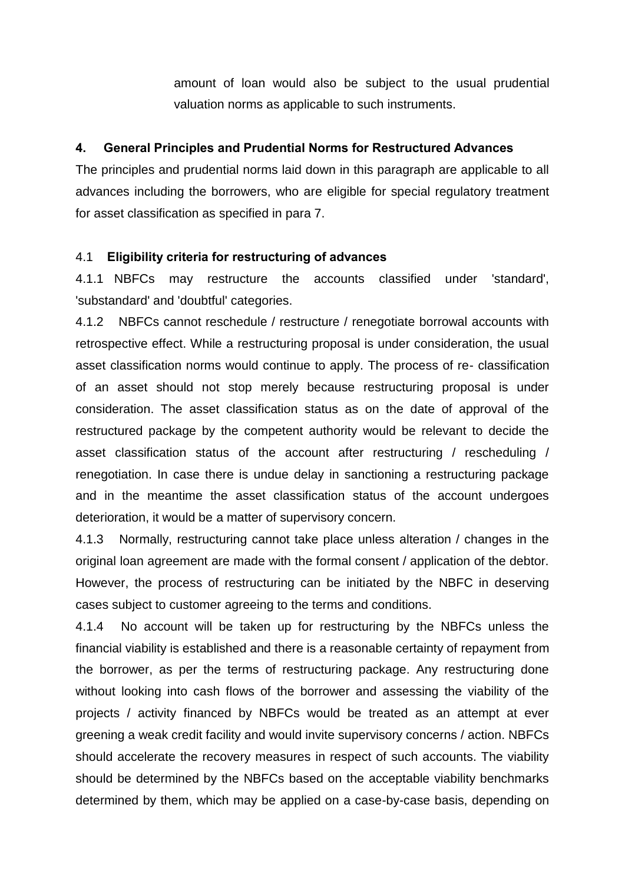amount of loan would also be subject to the usual prudential valuation norms as applicable to such instruments.

# **4. General Principles and Prudential Norms for Restructured Advances**

The principles and prudential norms laid down in this paragraph are applicable to all advances including the borrowers, who are eligible for special regulatory treatment for asset classification as specified in para 7.

# 4.1 **Eligibility criteria for restructuring of advances**

4.1.1 NBFCs may restructure the accounts classified under 'standard', 'substandard' and 'doubtful' categories.

4.1.2 NBFCs cannot reschedule / restructure / renegotiate borrowal accounts with retrospective effect. While a restructuring proposal is under consideration, the usual asset classification norms would continue to apply. The process of re- classification of an asset should not stop merely because restructuring proposal is under consideration. The asset classification status as on the date of approval of the restructured package by the competent authority would be relevant to decide the asset classification status of the account after restructuring / rescheduling / renegotiation. In case there is undue delay in sanctioning a restructuring package and in the meantime the asset classification status of the account undergoes deterioration, it would be a matter of supervisory concern.

4.1.3 Normally, restructuring cannot take place unless alteration / changes in the original loan agreement are made with the formal consent / application of the debtor. However, the process of restructuring can be initiated by the NBFC in deserving cases subject to customer agreeing to the terms and conditions.

4.1.4 No account will be taken up for restructuring by the NBFCs unless the financial viability is established and there is a reasonable certainty of repayment from the borrower, as per the terms of restructuring package. Any restructuring done without looking into cash flows of the borrower and assessing the viability of the projects / activity financed by NBFCs would be treated as an attempt at ever greening a weak credit facility and would invite supervisory concerns / action. NBFCs should accelerate the recovery measures in respect of such accounts. The viability should be determined by the NBFCs based on the acceptable viability benchmarks determined by them, which may be applied on a case-by-case basis, depending on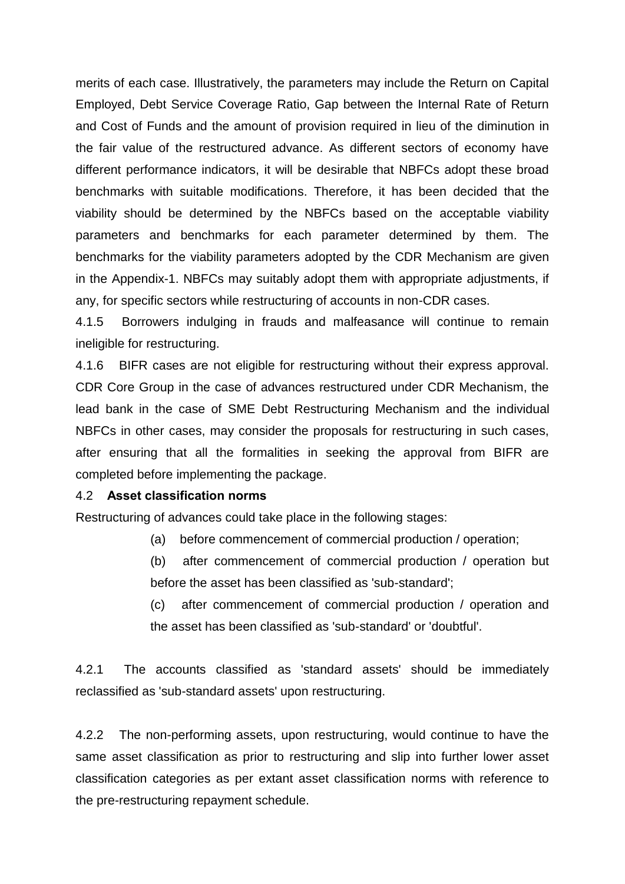merits of each case. Illustratively, the parameters may include the Return on Capital Employed, Debt Service Coverage Ratio, Gap between the Internal Rate of Return and Cost of Funds and the amount of provision required in lieu of the diminution in the fair value of the restructured advance. As different sectors of economy have different performance indicators, it will be desirable that NBFCs adopt these broad benchmarks with suitable modifications. Therefore, it has been decided that the viability should be determined by the NBFCs based on the acceptable viability parameters and benchmarks for each parameter determined by them. The benchmarks for the viability parameters adopted by the CDR Mechanism are given in the Appendix-1. NBFCs may suitably adopt them with appropriate adjustments, if any, for specific sectors while restructuring of accounts in non-CDR cases.

4.1.5 Borrowers indulging in frauds and malfeasance will continue to remain ineligible for restructuring.

4.1.6 BIFR cases are not eligible for restructuring without their express approval. CDR Core Group in the case of advances restructured under CDR Mechanism, the lead bank in the case of SME Debt Restructuring Mechanism and the individual NBFCs in other cases, may consider the proposals for restructuring in such cases, after ensuring that all the formalities in seeking the approval from BIFR are completed before implementing the package.

#### 4.2 **Asset classification norms**

Restructuring of advances could take place in the following stages:

(a) before commencement of commercial production / operation;

(b) after commencement of commercial production / operation but before the asset has been classified as 'sub-standard';

(c) after commencement of commercial production / operation and the asset has been classified as 'sub-standard' or 'doubtful'.

4.2.1 The accounts classified as 'standard assets' should be immediately reclassified as 'sub-standard assets' upon restructuring.

4.2.2 The non-performing assets, upon restructuring, would continue to have the same asset classification as prior to restructuring and slip into further lower asset classification categories as per extant asset classification norms with reference to the pre-restructuring repayment schedule.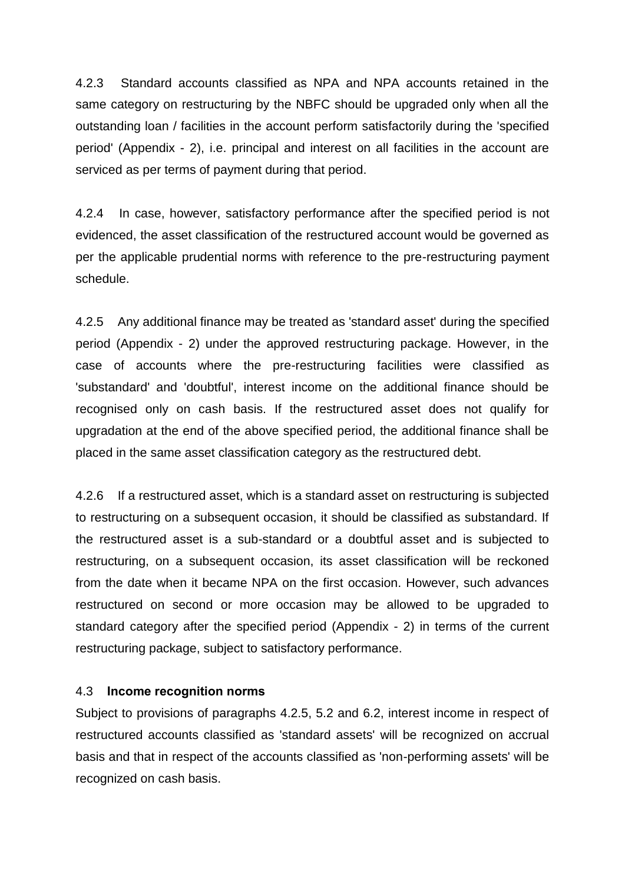4.2.3 Standard accounts classified as NPA and NPA accounts retained in the same category on restructuring by the NBFC should be upgraded only when all the outstanding loan / facilities in the account perform satisfactorily during the 'specified period' (Appendix - 2), i.e. principal and interest on all facilities in the account are serviced as per terms of payment during that period.

4.2.4 In case, however, satisfactory performance after the specified period is not evidenced, the asset classification of the restructured account would be governed as per the applicable prudential norms with reference to the pre-restructuring payment schedule.

4.2.5 Any additional finance may be treated as 'standard asset' during the specified period (Appendix - 2) under the approved restructuring package. However, in the case of accounts where the pre-restructuring facilities were classified as 'substandard' and 'doubtful', interest income on the additional finance should be recognised only on cash basis. If the restructured asset does not qualify for upgradation at the end of the above specified period, the additional finance shall be placed in the same asset classification category as the restructured debt.

4.2.6 If a restructured asset, which is a standard asset on restructuring is subjected to restructuring on a subsequent occasion, it should be classified as substandard. If the restructured asset is a sub-standard or a doubtful asset and is subjected to restructuring, on a subsequent occasion, its asset classification will be reckoned from the date when it became NPA on the first occasion. However, such advances restructured on second or more occasion may be allowed to be upgraded to standard category after the specified period (Appendix - 2) in terms of the current restructuring package, subject to satisfactory performance.

#### 4.3 **Income recognition norms**

Subject to provisions of paragraphs 4.2.5, 5.2 and 6.2, interest income in respect of restructured accounts classified as 'standard assets' will be recognized on accrual basis and that in respect of the accounts classified as 'non-performing assets' will be recognized on cash basis.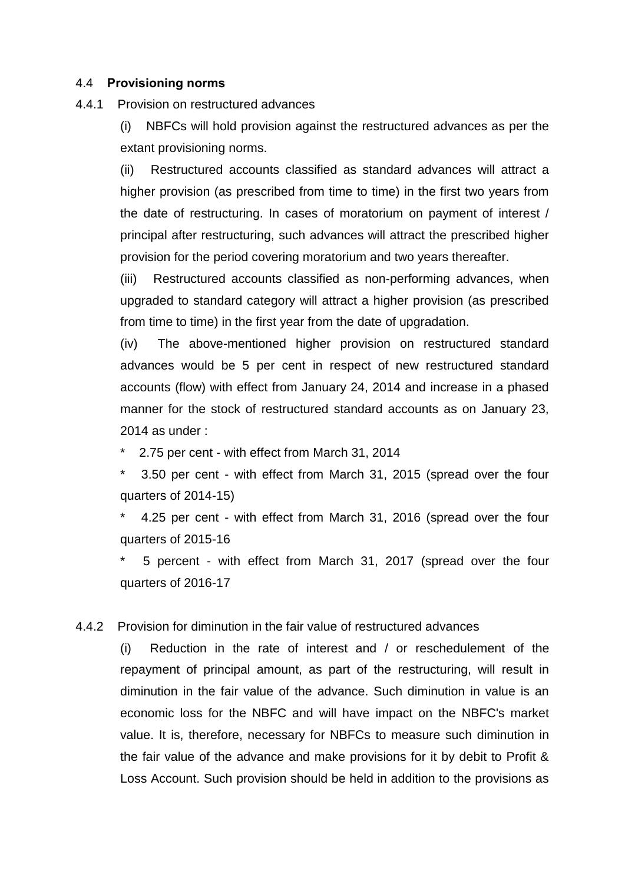#### 4.4 **Provisioning norms**

4.4.1 Provision on restructured advances

(i) NBFCs will hold provision against the restructured advances as per the extant provisioning norms.

(ii) Restructured accounts classified as standard advances will attract a higher provision (as prescribed from time to time) in the first two years from the date of restructuring. In cases of moratorium on payment of interest / principal after restructuring, such advances will attract the prescribed higher provision for the period covering moratorium and two years thereafter.

(iii) Restructured accounts classified as non-performing advances, when upgraded to standard category will attract a higher provision (as prescribed from time to time) in the first year from the date of upgradation.

(iv) The above-mentioned higher provision on restructured standard advances would be 5 per cent in respect of new restructured standard accounts (flow) with effect from January 24, 2014 and increase in a phased manner for the stock of restructured standard accounts as on January 23, 2014 as under :

2.75 per cent - with effect from March 31, 2014

3.50 per cent - with effect from March 31, 2015 (spread over the four quarters of 2014-15)

4.25 per cent - with effect from March 31, 2016 (spread over the four quarters of 2015-16

5 percent - with effect from March 31, 2017 (spread over the four quarters of 2016-17

4.4.2 Provision for diminution in the fair value of restructured advances

(i) Reduction in the rate of interest and / or reschedulement of the repayment of principal amount, as part of the restructuring, will result in diminution in the fair value of the advance. Such diminution in value is an economic loss for the NBFC and will have impact on the NBFC's market value. It is, therefore, necessary for NBFCs to measure such diminution in the fair value of the advance and make provisions for it by debit to Profit & Loss Account. Such provision should be held in addition to the provisions as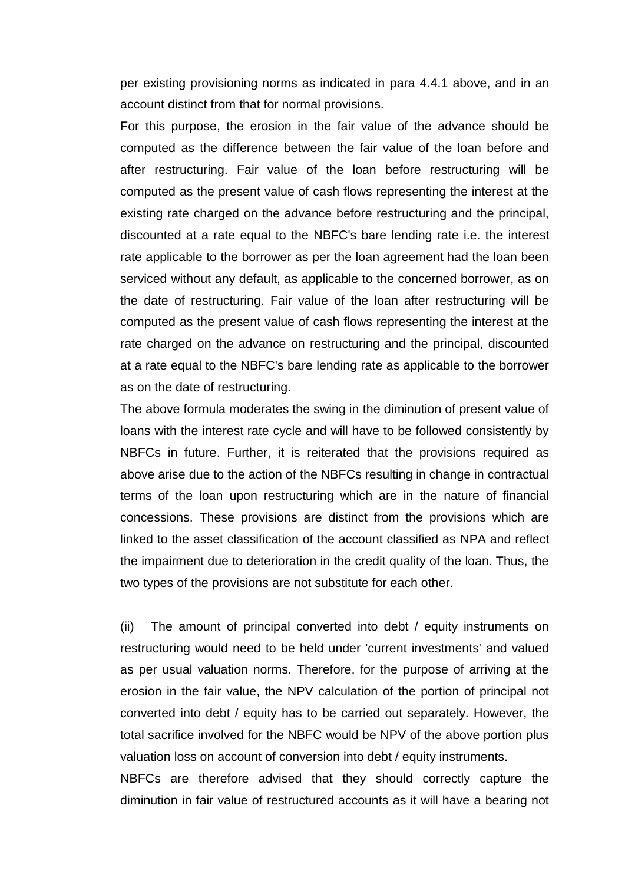per existing provisioning norms as indicated in para 4.4.1 above, and in an account distinct from that for normal provisions.

For this purpose, the erosion in the fair value of the advance should be computed as the difference between the fair value of the loan before and after restructuring. Fair value of the loan before restructuring will be computed as the present value of cash flows representing the interest at the existing rate charged on the advance before restructuring and the principal, discounted at a rate equal to the NBFC's bare lending rate i.e. the interest rate applicable to the borrower as per the loan agreement had the loan been serviced without any default, as applicable to the concerned borrower, as on the date of restructuring. Fair value of the loan after restructuring will be computed as the present value of cash flows representing the interest at the rate charged on the advance on restructuring and the principal, discounted at a rate equal to the NBFC's bare lending rate as applicable to the borrower as on the date of restructuring.

The above formula moderates the swing in the diminution of present value of loans with the interest rate cycle and will have to be followed consistently by NBFCs in future. Further, it is reiterated that the provisions required as above arise due to the action of the NBFCs resulting in change in contractual terms of the loan upon restructuring which are in the nature of financial concessions. These provisions are distinct from the provisions which are linked to the asset classification of the account classified as NPA and reflect the impairment due to deterioration in the credit quality of the loan. Thus, the two types of the provisions are not substitute for each other.

(ii) The amount of principal converted into debt / equity instruments on restructuring would need to be held under 'current investments' and valued as per usual valuation norms. Therefore, for the purpose of arriving at the erosion in the fair value, the NPV calculation of the portion of principal not converted into debt / equity has to be carried out separately. However, the total sacrifice involved for the NBFC would be NPV of the above portion plus valuation loss on account of conversion into debt / equity instruments.

NBFCs are therefore advised that they should correctly capture the diminution in fair value of restructured accounts as it will have a bearing not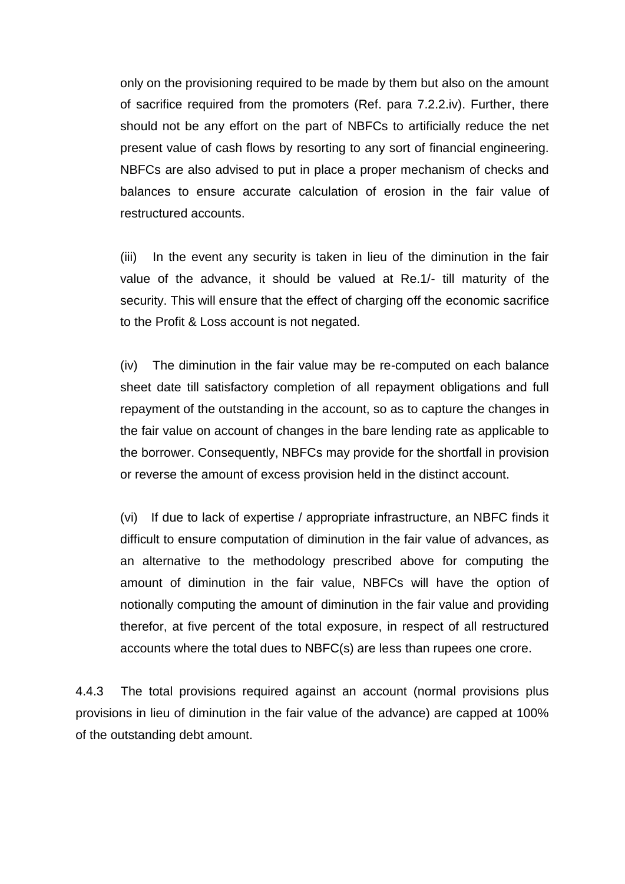only on the provisioning required to be made by them but also on the amount of sacrifice required from the promoters (Ref. para 7.2.2.iv). Further, there should not be any effort on the part of NBFCs to artificially reduce the net present value of cash flows by resorting to any sort of financial engineering. NBFCs are also advised to put in place a proper mechanism of checks and balances to ensure accurate calculation of erosion in the fair value of restructured accounts.

(iii) In the event any security is taken in lieu of the diminution in the fair value of the advance, it should be valued at Re.1/- till maturity of the security. This will ensure that the effect of charging off the economic sacrifice to the Profit & Loss account is not negated.

(iv) The diminution in the fair value may be re-computed on each balance sheet date till satisfactory completion of all repayment obligations and full repayment of the outstanding in the account, so as to capture the changes in the fair value on account of changes in the bare lending rate as applicable to the borrower. Consequently, NBFCs may provide for the shortfall in provision or reverse the amount of excess provision held in the distinct account.

(vi) If due to lack of expertise / appropriate infrastructure, an NBFC finds it difficult to ensure computation of diminution in the fair value of advances, as an alternative to the methodology prescribed above for computing the amount of diminution in the fair value, NBFCs will have the option of notionally computing the amount of diminution in the fair value and providing therefor, at five percent of the total exposure, in respect of all restructured accounts where the total dues to NBFC(s) are less than rupees one crore.

4.4.3 The total provisions required against an account (normal provisions plus provisions in lieu of diminution in the fair value of the advance) are capped at 100% of the outstanding debt amount.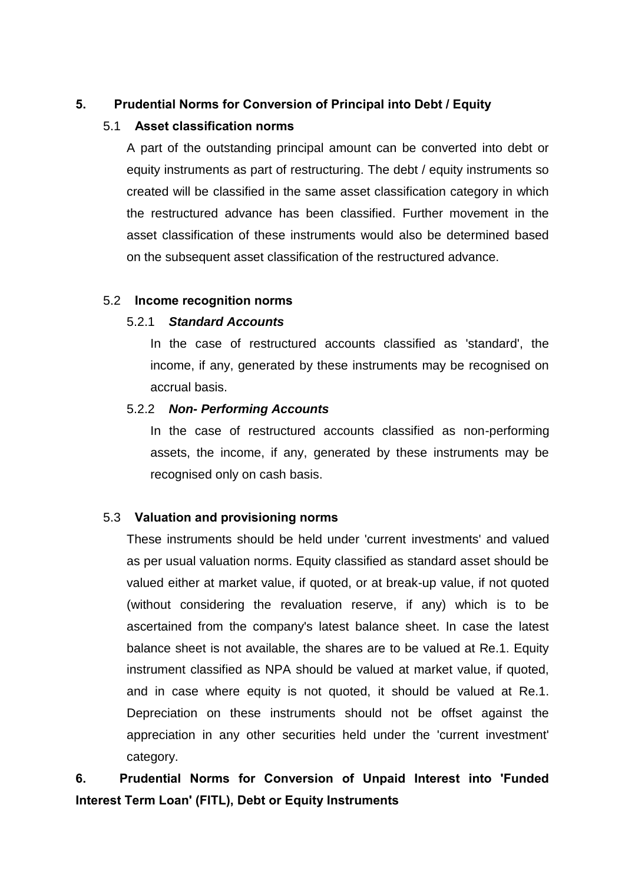# **5. Prudential Norms for Conversion of Principal into Debt / Equity**

### 5.1 **Asset classification norms**

A part of the outstanding principal amount can be converted into debt or equity instruments as part of restructuring. The debt / equity instruments so created will be classified in the same asset classification category in which the restructured advance has been classified. Further movement in the asset classification of these instruments would also be determined based on the subsequent asset classification of the restructured advance.

### 5.2 **Income recognition norms**

### 5.2.1 *Standard Accounts*

In the case of restructured accounts classified as 'standard', the income, if any, generated by these instruments may be recognised on accrual basis.

#### 5.2.2 *Non- Performing Accounts*

In the case of restructured accounts classified as non-performing assets, the income, if any, generated by these instruments may be recognised only on cash basis.

## 5.3 **Valuation and provisioning norms**

These instruments should be held under 'current investments' and valued as per usual valuation norms. Equity classified as standard asset should be valued either at market value, if quoted, or at break-up value, if not quoted (without considering the revaluation reserve, if any) which is to be ascertained from the company's latest balance sheet. In case the latest balance sheet is not available, the shares are to be valued at Re.1. Equity instrument classified as NPA should be valued at market value, if quoted, and in case where equity is not quoted, it should be valued at Re.1. Depreciation on these instruments should not be offset against the appreciation in any other securities held under the 'current investment' category.

# **6. Prudential Norms for Conversion of Unpaid Interest into 'Funded Interest Term Loan' (FITL), Debt or Equity Instruments**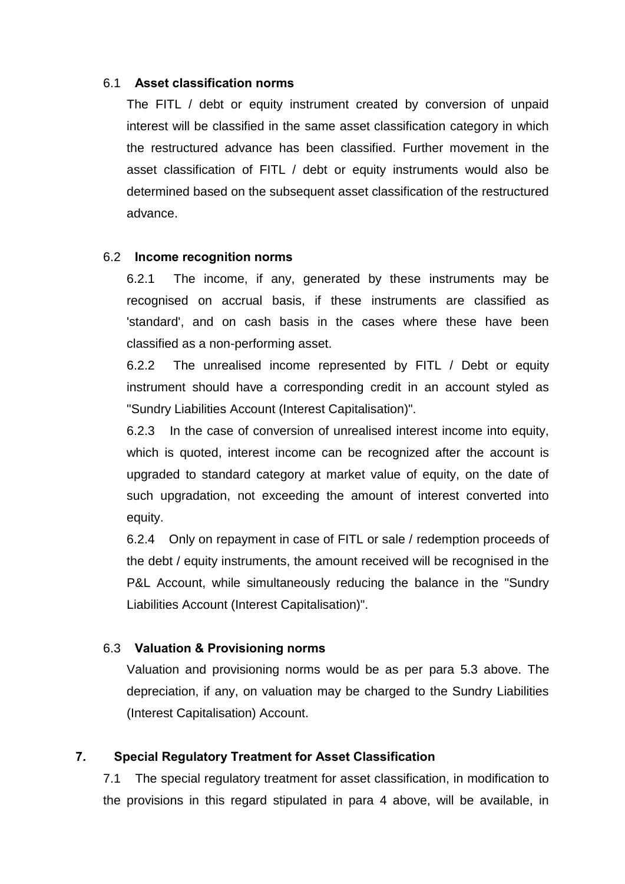### 6.1 **Asset classification norms**

The FITL / debt or equity instrument created by conversion of unpaid interest will be classified in the same asset classification category in which the restructured advance has been classified. Further movement in the asset classification of FITL / debt or equity instruments would also be determined based on the subsequent asset classification of the restructured advance.

#### 6.2 **Income recognition norms**

6.2.1 The income, if any, generated by these instruments may be recognised on accrual basis, if these instruments are classified as 'standard', and on cash basis in the cases where these have been classified as a non-performing asset.

6.2.2 The unrealised income represented by FITL / Debt or equity instrument should have a corresponding credit in an account styled as "Sundry Liabilities Account (Interest Capitalisation)".

6.2.3 In the case of conversion of unrealised interest income into equity, which is quoted, interest income can be recognized after the account is upgraded to standard category at market value of equity, on the date of such upgradation, not exceeding the amount of interest converted into equity.

6.2.4 Only on repayment in case of FITL or sale / redemption proceeds of the debt / equity instruments, the amount received will be recognised in the P&L Account, while simultaneously reducing the balance in the "Sundry Liabilities Account (Interest Capitalisation)".

## 6.3 **Valuation & Provisioning norms**

Valuation and provisioning norms would be as per para 5.3 above. The depreciation, if any, on valuation may be charged to the Sundry Liabilities (Interest Capitalisation) Account.

# **7. Special Regulatory Treatment for Asset Classification**

7.1 The special regulatory treatment for asset classification, in modification to the provisions in this regard stipulated in para 4 above, will be available, in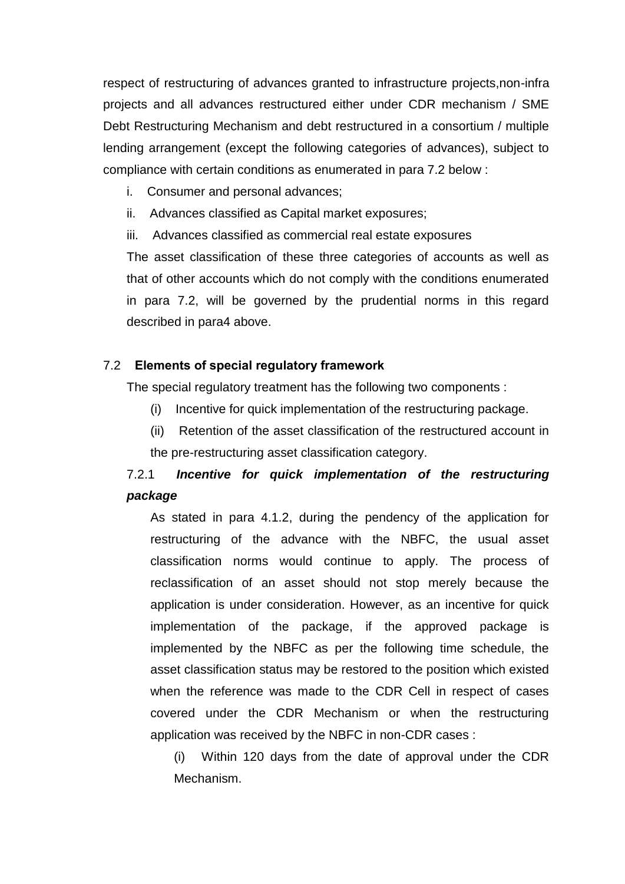respect of restructuring of advances granted to infrastructure projects,non-infra projects and all advances restructured either under CDR mechanism / SME Debt Restructuring Mechanism and debt restructured in a consortium / multiple lending arrangement (except the following categories of advances), subject to compliance with certain conditions as enumerated in para 7.2 below :

- i. Consumer and personal advances;
- ii. Advances classified as Capital market exposures;
- iii. Advances classified as commercial real estate exposures

The asset classification of these three categories of accounts as well as that of other accounts which do not comply with the conditions enumerated in para 7.2, will be governed by the prudential norms in this regard described in para4 above.

# 7.2 **Elements of special regulatory framework**

The special regulatory treatment has the following two components :

- (i) Incentive for quick implementation of the restructuring package.
- (ii) Retention of the asset classification of the restructured account in the pre-restructuring asset classification category.

# 7.2.1 *Incentive for quick implementation of the restructuring package*

As stated in para 4.1.2, during the pendency of the application for restructuring of the advance with the NBFC, the usual asset classification norms would continue to apply. The process of reclassification of an asset should not stop merely because the application is under consideration. However, as an incentive for quick implementation of the package, if the approved package is implemented by the NBFC as per the following time schedule, the asset classification status may be restored to the position which existed when the reference was made to the CDR Cell in respect of cases covered under the CDR Mechanism or when the restructuring application was received by the NBFC in non-CDR cases :

(i) Within 120 days from the date of approval under the CDR Mechanism.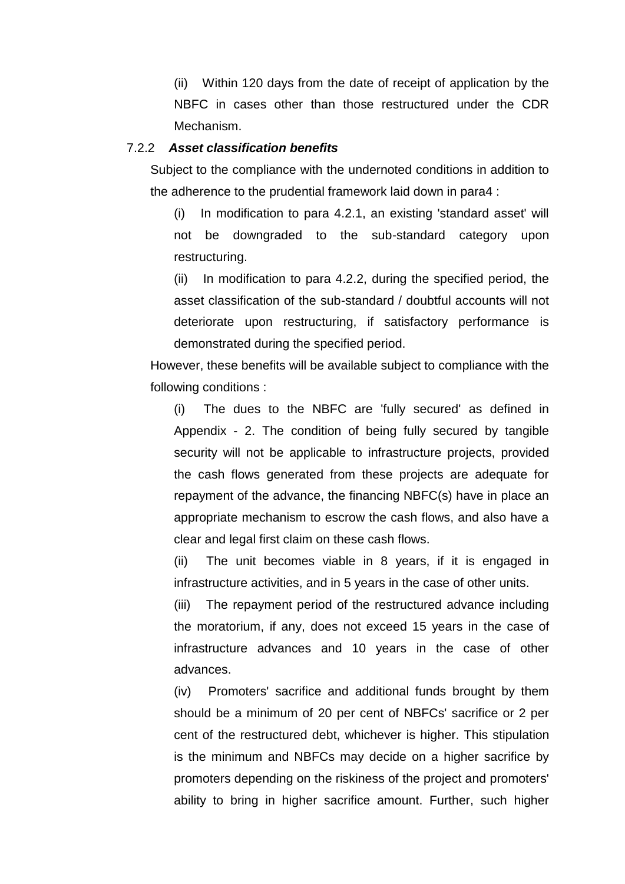(ii) Within 120 days from the date of receipt of application by the NBFC in cases other than those restructured under the CDR Mechanism.

#### 7.2.2 *Asset classification benefits*

Subject to the compliance with the undernoted conditions in addition to the adherence to the prudential framework laid down in para4 :

(i) In modification to para 4.2.1, an existing 'standard asset' will not be downgraded to the sub-standard category upon restructuring.

(ii) In modification to para 4.2.2, during the specified period, the asset classification of the sub-standard / doubtful accounts will not deteriorate upon restructuring, if satisfactory performance is demonstrated during the specified period.

However, these benefits will be available subject to compliance with the following conditions :

(i) The dues to the NBFC are 'fully secured' as defined in Appendix - 2. The condition of being fully secured by tangible security will not be applicable to infrastructure projects, provided the cash flows generated from these projects are adequate for repayment of the advance, the financing NBFC(s) have in place an appropriate mechanism to escrow the cash flows, and also have a clear and legal first claim on these cash flows.

(ii) The unit becomes viable in 8 years, if it is engaged in infrastructure activities, and in 5 years in the case of other units.

(iii) The repayment period of the restructured advance including the moratorium, if any, does not exceed 15 years in the case of infrastructure advances and 10 years in the case of other advances.

(iv) Promoters' sacrifice and additional funds brought by them should be a minimum of 20 per cent of NBFCs' sacrifice or 2 per cent of the restructured debt, whichever is higher. This stipulation is the minimum and NBFCs may decide on a higher sacrifice by promoters depending on the riskiness of the project and promoters' ability to bring in higher sacrifice amount. Further, such higher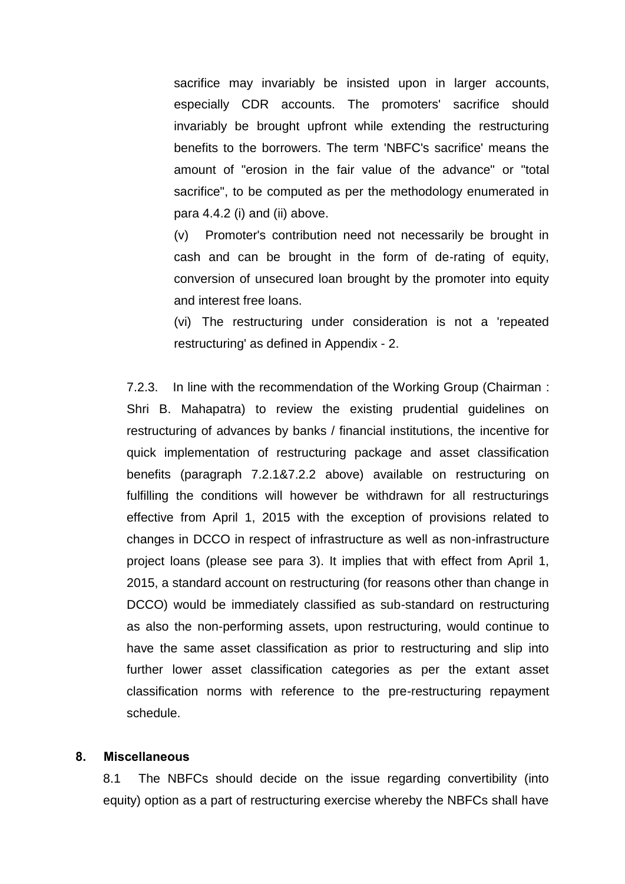sacrifice may invariably be insisted upon in larger accounts, especially CDR accounts. The promoters' sacrifice should invariably be brought upfront while extending the restructuring benefits to the borrowers. The term 'NBFC's sacrifice' means the amount of "erosion in the fair value of the advance" or "total sacrifice", to be computed as per the methodology enumerated in para 4.4.2 (i) and (ii) above.

(v) Promoter's contribution need not necessarily be brought in cash and can be brought in the form of de-rating of equity, conversion of unsecured loan brought by the promoter into equity and interest free loans.

(vi) The restructuring under consideration is not a 'repeated restructuring' as defined in Appendix - 2.

7.2.3. In line with the recommendation of the Working Group (Chairman : Shri B. Mahapatra) to review the existing prudential guidelines on restructuring of advances by banks / financial institutions, the incentive for quick implementation of restructuring package and asset classification benefits (paragraph 7.2.1&7.2.2 above) available on restructuring on fulfilling the conditions will however be withdrawn for all restructurings effective from April 1, 2015 with the exception of provisions related to changes in DCCO in respect of infrastructure as well as non-infrastructure project loans (please see para 3). It implies that with effect from April 1, 2015, a standard account on restructuring (for reasons other than change in DCCO) would be immediately classified as sub-standard on restructuring as also the non-performing assets, upon restructuring, would continue to have the same asset classification as prior to restructuring and slip into further lower asset classification categories as per the extant asset classification norms with reference to the pre-restructuring repayment schedule.

#### **8. Miscellaneous**

8.1 The NBFCs should decide on the issue regarding convertibility (into equity) option as a part of restructuring exercise whereby the NBFCs shall have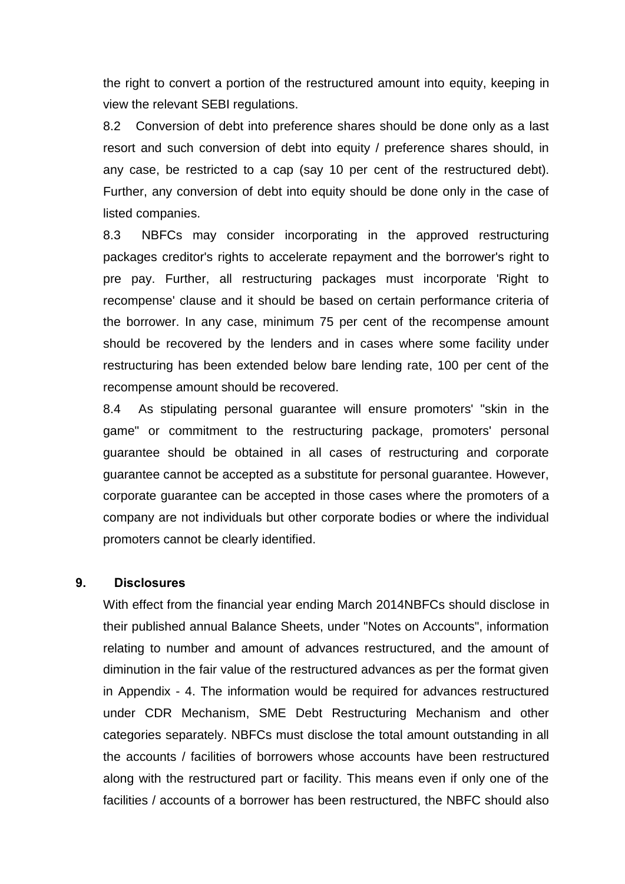the right to convert a portion of the restructured amount into equity, keeping in view the relevant SEBI regulations.

8.2 Conversion of debt into preference shares should be done only as a last resort and such conversion of debt into equity / preference shares should, in any case, be restricted to a cap (say 10 per cent of the restructured debt). Further, any conversion of debt into equity should be done only in the case of listed companies.

8.3 NBFCs may consider incorporating in the approved restructuring packages creditor's rights to accelerate repayment and the borrower's right to pre pay. Further, all restructuring packages must incorporate 'Right to recompense' clause and it should be based on certain performance criteria of the borrower. In any case, minimum 75 per cent of the recompense amount should be recovered by the lenders and in cases where some facility under restructuring has been extended below bare lending rate, 100 per cent of the recompense amount should be recovered.

8.4 As stipulating personal guarantee will ensure promoters' "skin in the game" or commitment to the restructuring package, promoters' personal guarantee should be obtained in all cases of restructuring and corporate guarantee cannot be accepted as a substitute for personal guarantee. However, corporate guarantee can be accepted in those cases where the promoters of a company are not individuals but other corporate bodies or where the individual promoters cannot be clearly identified.

### **9. Disclosures**

With effect from the financial year ending March 2014NBFCs should disclose in their published annual Balance Sheets, under "Notes on Accounts", information relating to number and amount of advances restructured, and the amount of diminution in the fair value of the restructured advances as per the format given in Appendix - 4. The information would be required for advances restructured under CDR Mechanism, SME Debt Restructuring Mechanism and other categories separately. NBFCs must disclose the total amount outstanding in all the accounts / facilities of borrowers whose accounts have been restructured along with the restructured part or facility. This means even if only one of the facilities / accounts of a borrower has been restructured, the NBFC should also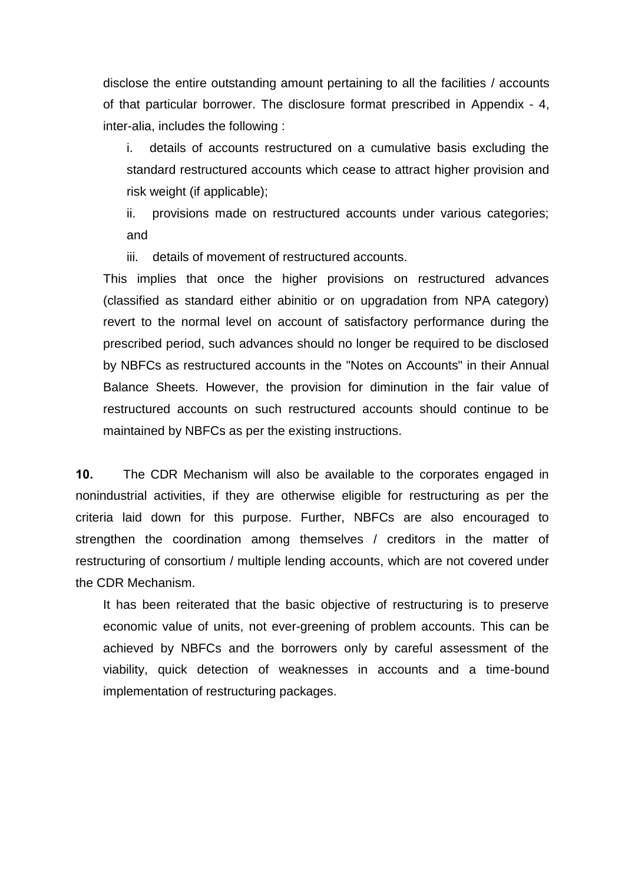disclose the entire outstanding amount pertaining to all the facilities / accounts of that particular borrower. The disclosure format prescribed in Appendix - 4, inter-alia, includes the following :

i. details of accounts restructured on a cumulative basis excluding the standard restructured accounts which cease to attract higher provision and risk weight (if applicable);

ii. provisions made on restructured accounts under various categories; and

iii. details of movement of restructured accounts.

This implies that once the higher provisions on restructured advances (classified as standard either abinitio or on upgradation from NPA category) revert to the normal level on account of satisfactory performance during the prescribed period, such advances should no longer be required to be disclosed by NBFCs as restructured accounts in the "Notes on Accounts" in their Annual Balance Sheets. However, the provision for diminution in the fair value of restructured accounts on such restructured accounts should continue to be maintained by NBFCs as per the existing instructions.

**10.** The CDR Mechanism will also be available to the corporates engaged in nonindustrial activities, if they are otherwise eligible for restructuring as per the criteria laid down for this purpose. Further, NBFCs are also encouraged to strengthen the coordination among themselves / creditors in the matter of restructuring of consortium / multiple lending accounts, which are not covered under the CDR Mechanism.

It has been reiterated that the basic objective of restructuring is to preserve economic value of units, not ever-greening of problem accounts. This can be achieved by NBFCs and the borrowers only by careful assessment of the viability, quick detection of weaknesses in accounts and a time-bound implementation of restructuring packages.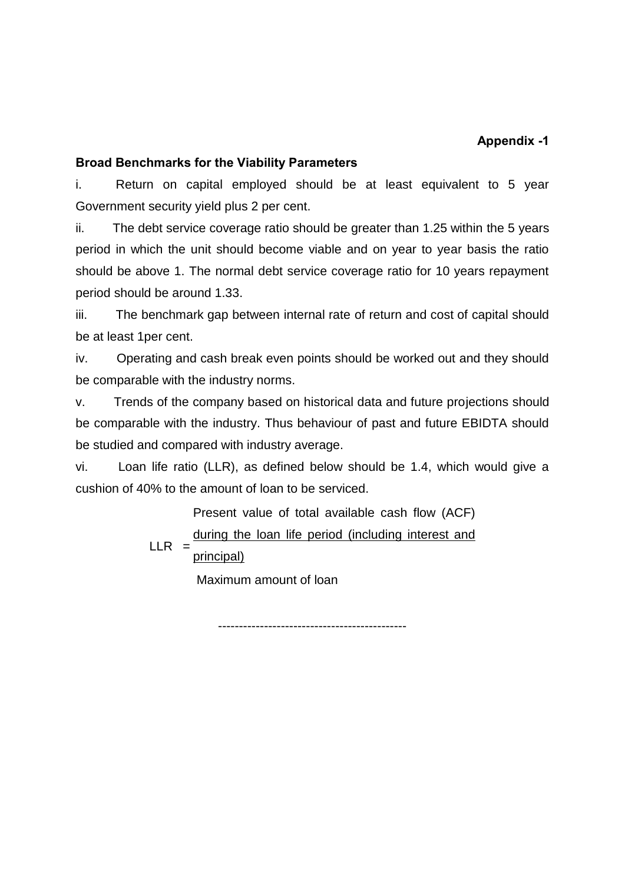# **Appendix -1**

### **Broad Benchmarks for the Viability Parameters**

i. Return on capital employed should be at least equivalent to 5 year Government security yield plus 2 per cent.

ii. The debt service coverage ratio should be greater than 1.25 within the 5 years period in which the unit should become viable and on year to year basis the ratio should be above 1. The normal debt service coverage ratio for 10 years repayment period should be around 1.33.

iii. The benchmark gap between internal rate of return and cost of capital should be at least 1per cent.

iv. Operating and cash break even points should be worked out and they should be comparable with the industry norms.

v. Trends of the company based on historical data and future projections should be comparable with the industry. Thus behaviour of past and future EBIDTA should be studied and compared with industry average.

vi. Loan life ratio (LLR), as defined below should be 1.4, which would give a cushion of 40% to the amount of loan to be serviced.

Present value of total available cash flow (ACF)

during the loan life period (including interest and

LLR = principal)

Maximum amount of loan

---------------------------------------------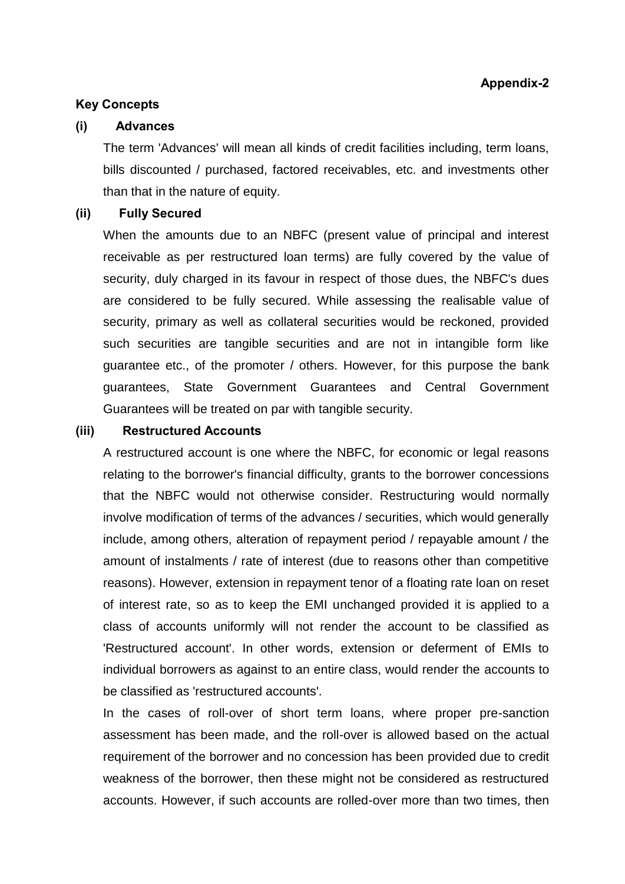## **Key Concepts**

#### **(i) Advances**

The term 'Advances' will mean all kinds of credit facilities including, term loans, bills discounted / purchased, factored receivables, etc. and investments other than that in the nature of equity.

## **(ii) Fully Secured**

When the amounts due to an NBFC (present value of principal and interest receivable as per restructured loan terms) are fully covered by the value of security, duly charged in its favour in respect of those dues, the NBFC's dues are considered to be fully secured. While assessing the realisable value of security, primary as well as collateral securities would be reckoned, provided such securities are tangible securities and are not in intangible form like guarantee etc., of the promoter / others. However, for this purpose the bank guarantees, State Government Guarantees and Central Government Guarantees will be treated on par with tangible security.

### **(iii) Restructured Accounts**

A restructured account is one where the NBFC, for economic or legal reasons relating to the borrower's financial difficulty, grants to the borrower concessions that the NBFC would not otherwise consider. Restructuring would normally involve modification of terms of the advances / securities, which would generally include, among others, alteration of repayment period / repayable amount / the amount of instalments / rate of interest (due to reasons other than competitive reasons). However, extension in repayment tenor of a floating rate loan on reset of interest rate, so as to keep the EMI unchanged provided it is applied to a class of accounts uniformly will not render the account to be classified as 'Restructured account'. In other words, extension or deferment of EMIs to individual borrowers as against to an entire class, would render the accounts to be classified as 'restructured accounts'.

In the cases of roll-over of short term loans, where proper pre-sanction assessment has been made, and the roll-over is allowed based on the actual requirement of the borrower and no concession has been provided due to credit weakness of the borrower, then these might not be considered as restructured accounts. However, if such accounts are rolled-over more than two times, then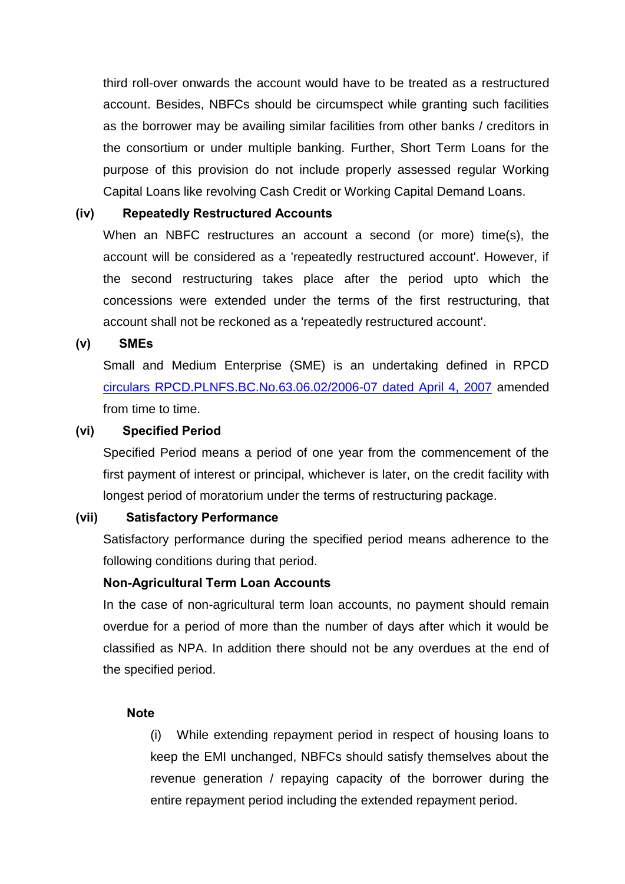third roll-over onwards the account would have to be treated as a restructured account. Besides, NBFCs should be circumspect while granting such facilities as the borrower may be availing similar facilities from other banks / creditors in the consortium or under multiple banking. Further, Short Term Loans for the purpose of this provision do not include properly assessed regular Working Capital Loans like revolving Cash Credit or Working Capital Demand Loans.

## **(iv) Repeatedly Restructured Accounts**

When an NBFC restructures an account a second (or more) time(s), the account will be considered as a 'repeatedly restructured account'. However, if the second restructuring takes place after the period upto which the concessions were extended under the terms of the first restructuring, that account shall not be reckoned as a 'repeatedly restructured account'.

## **(v) SMEs**

Small and Medium Enterprise (SME) is an undertaking defined in RPCD [circulars RPCD.PLNFS.BC.No.63.06.02/2006-07 dated April 4, 2007](https://rbi.org.in/Scripts/NotificationUser.aspx?Id=3391&Mode=0) amended from time to time.

## **(vi) Specified Period**

Specified Period means a period of one year from the commencement of the first payment of interest or principal, whichever is later, on the credit facility with longest period of moratorium under the terms of restructuring package.

## **(vii) Satisfactory Performance**

Satisfactory performance during the specified period means adherence to the following conditions during that period.

## **Non-Agricultural Term Loan Accounts**

In the case of non-agricultural term loan accounts, no payment should remain overdue for a period of more than the number of days after which it would be classified as NPA. In addition there should not be any overdues at the end of the specified period.

#### **Note**

(i) While extending repayment period in respect of housing loans to keep the EMI unchanged, NBFCs should satisfy themselves about the revenue generation / repaying capacity of the borrower during the entire repayment period including the extended repayment period.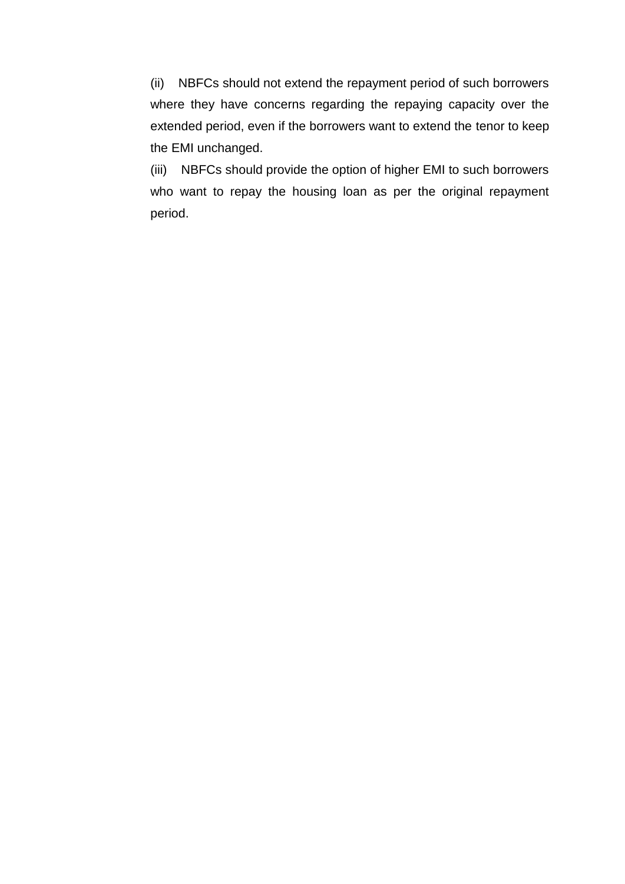(ii) NBFCs should not extend the repayment period of such borrowers where they have concerns regarding the repaying capacity over the extended period, even if the borrowers want to extend the tenor to keep the EMI unchanged.

(iii) NBFCs should provide the option of higher EMI to such borrowers who want to repay the housing loan as per the original repayment period.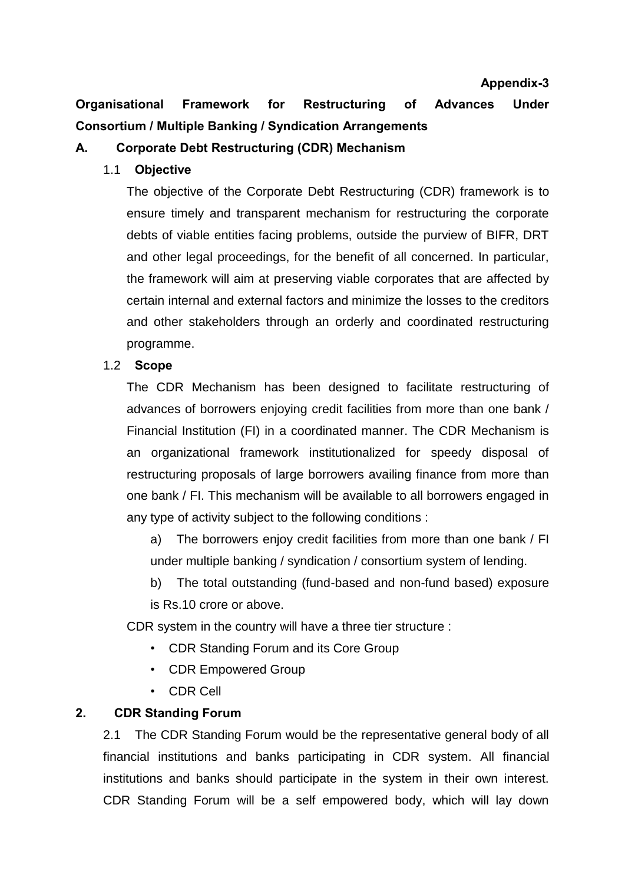**Organisational Framework for Restructuring of Advances Under Consortium / Multiple Banking / Syndication Arrangements**

# **A. Corporate Debt Restructuring (CDR) Mechanism**

# 1.1 **Objective**

The objective of the Corporate Debt Restructuring (CDR) framework is to ensure timely and transparent mechanism for restructuring the corporate debts of viable entities facing problems, outside the purview of BIFR, DRT and other legal proceedings, for the benefit of all concerned. In particular, the framework will aim at preserving viable corporates that are affected by certain internal and external factors and minimize the losses to the creditors and other stakeholders through an orderly and coordinated restructuring programme.

# 1.2 **Scope**

The CDR Mechanism has been designed to facilitate restructuring of advances of borrowers enjoying credit facilities from more than one bank / Financial Institution (FI) in a coordinated manner. The CDR Mechanism is an organizational framework institutionalized for speedy disposal of restructuring proposals of large borrowers availing finance from more than one bank / FI. This mechanism will be available to all borrowers engaged in any type of activity subject to the following conditions :

a) The borrowers enjoy credit facilities from more than one bank / FI under multiple banking / syndication / consortium system of lending.

b) The total outstanding (fund-based and non-fund based) exposure is Rs.10 crore or above.

CDR system in the country will have a three tier structure :

- CDR Standing Forum and its Core Group
- CDR Empowered Group
- CDR Cell

# **2. CDR Standing Forum**

2.1 The CDR Standing Forum would be the representative general body of all financial institutions and banks participating in CDR system. All financial institutions and banks should participate in the system in their own interest. CDR Standing Forum will be a self empowered body, which will lay down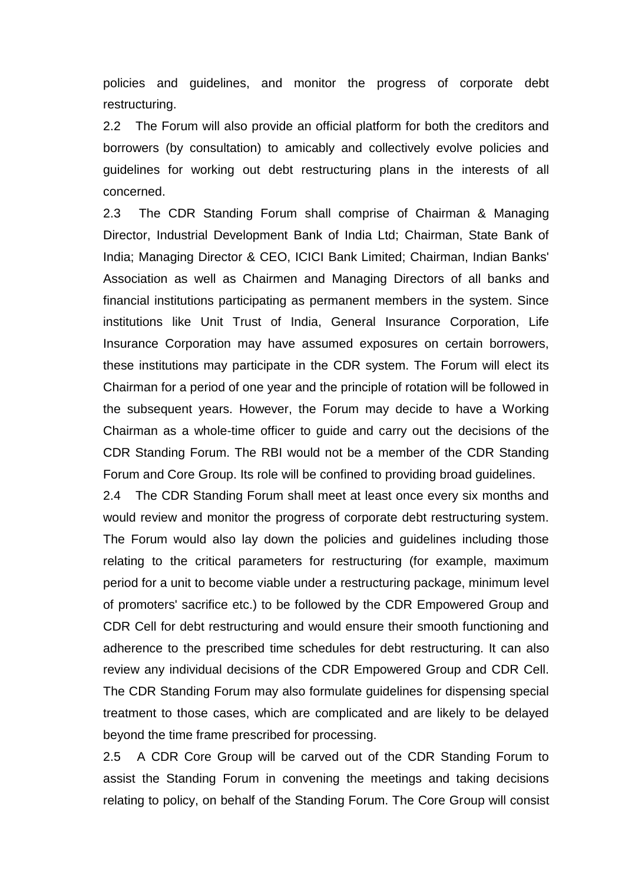policies and guidelines, and monitor the progress of corporate debt restructuring.

2.2 The Forum will also provide an official platform for both the creditors and borrowers (by consultation) to amicably and collectively evolve policies and guidelines for working out debt restructuring plans in the interests of all concerned.

2.3 The CDR Standing Forum shall comprise of Chairman & Managing Director, Industrial Development Bank of India Ltd; Chairman, State Bank of India; Managing Director & CEO, ICICI Bank Limited; Chairman, Indian Banks' Association as well as Chairmen and Managing Directors of all banks and financial institutions participating as permanent members in the system. Since institutions like Unit Trust of India, General Insurance Corporation, Life Insurance Corporation may have assumed exposures on certain borrowers, these institutions may participate in the CDR system. The Forum will elect its Chairman for a period of one year and the principle of rotation will be followed in the subsequent years. However, the Forum may decide to have a Working Chairman as a whole-time officer to guide and carry out the decisions of the CDR Standing Forum. The RBI would not be a member of the CDR Standing Forum and Core Group. Its role will be confined to providing broad guidelines.

2.4 The CDR Standing Forum shall meet at least once every six months and would review and monitor the progress of corporate debt restructuring system. The Forum would also lay down the policies and guidelines including those relating to the critical parameters for restructuring (for example, maximum period for a unit to become viable under a restructuring package, minimum level of promoters' sacrifice etc.) to be followed by the CDR Empowered Group and CDR Cell for debt restructuring and would ensure their smooth functioning and adherence to the prescribed time schedules for debt restructuring. It can also review any individual decisions of the CDR Empowered Group and CDR Cell. The CDR Standing Forum may also formulate guidelines for dispensing special treatment to those cases, which are complicated and are likely to be delayed beyond the time frame prescribed for processing.

2.5 A CDR Core Group will be carved out of the CDR Standing Forum to assist the Standing Forum in convening the meetings and taking decisions relating to policy, on behalf of the Standing Forum. The Core Group will consist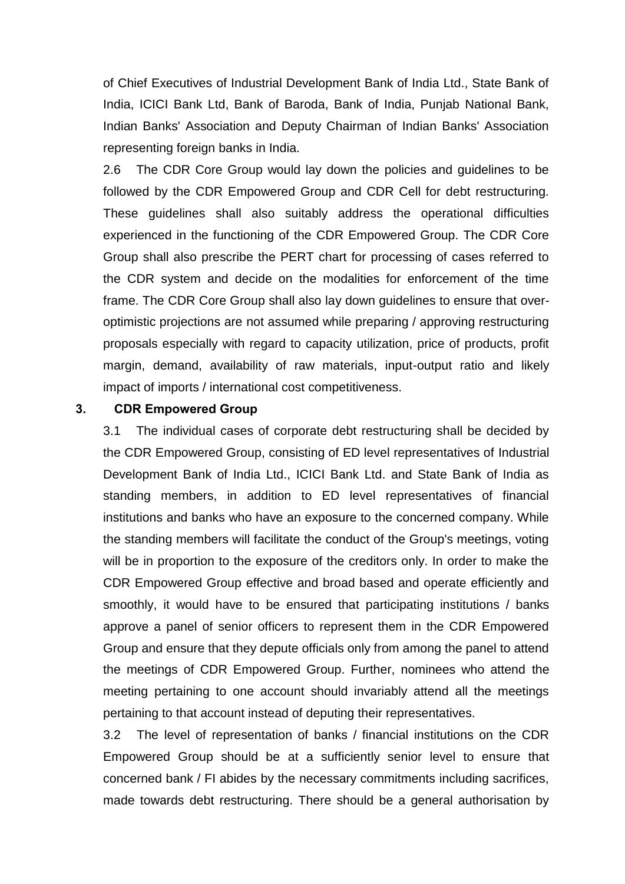of Chief Executives of Industrial Development Bank of India Ltd., State Bank of India, ICICI Bank Ltd, Bank of Baroda, Bank of India, Punjab National Bank, Indian Banks' Association and Deputy Chairman of Indian Banks' Association representing foreign banks in India.

2.6 The CDR Core Group would lay down the policies and guidelines to be followed by the CDR Empowered Group and CDR Cell for debt restructuring. These guidelines shall also suitably address the operational difficulties experienced in the functioning of the CDR Empowered Group. The CDR Core Group shall also prescribe the PERT chart for processing of cases referred to the CDR system and decide on the modalities for enforcement of the time frame. The CDR Core Group shall also lay down guidelines to ensure that overoptimistic projections are not assumed while preparing / approving restructuring proposals especially with regard to capacity utilization, price of products, profit margin, demand, availability of raw materials, input-output ratio and likely impact of imports / international cost competitiveness.

# **3. CDR Empowered Group**

3.1 The individual cases of corporate debt restructuring shall be decided by the CDR Empowered Group, consisting of ED level representatives of Industrial Development Bank of India Ltd., ICICI Bank Ltd. and State Bank of India as standing members, in addition to ED level representatives of financial institutions and banks who have an exposure to the concerned company. While the standing members will facilitate the conduct of the Group's meetings, voting will be in proportion to the exposure of the creditors only. In order to make the CDR Empowered Group effective and broad based and operate efficiently and smoothly, it would have to be ensured that participating institutions / banks approve a panel of senior officers to represent them in the CDR Empowered Group and ensure that they depute officials only from among the panel to attend the meetings of CDR Empowered Group. Further, nominees who attend the meeting pertaining to one account should invariably attend all the meetings pertaining to that account instead of deputing their representatives.

3.2 The level of representation of banks / financial institutions on the CDR Empowered Group should be at a sufficiently senior level to ensure that concerned bank / FI abides by the necessary commitments including sacrifices, made towards debt restructuring. There should be a general authorisation by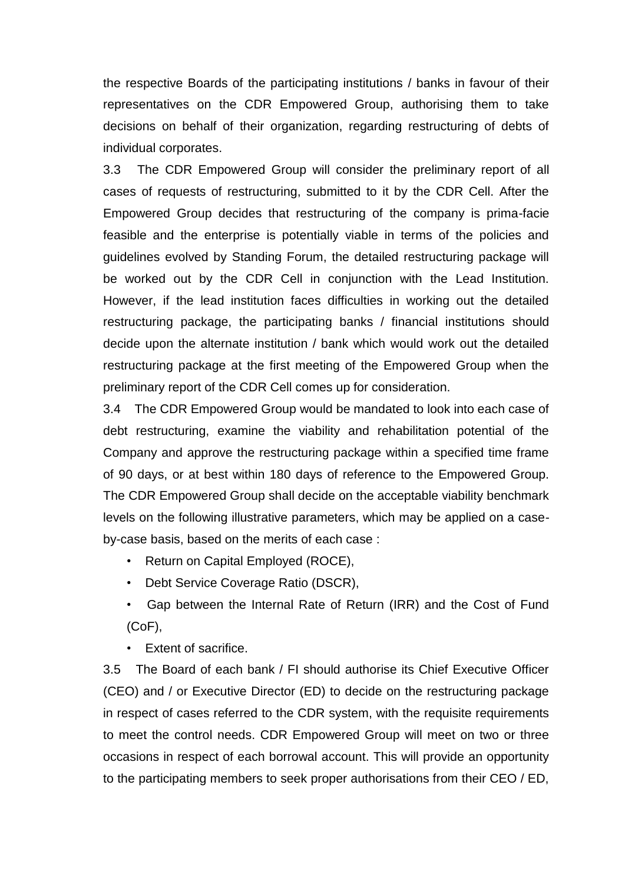the respective Boards of the participating institutions / banks in favour of their representatives on the CDR Empowered Group, authorising them to take decisions on behalf of their organization, regarding restructuring of debts of individual corporates.

3.3 The CDR Empowered Group will consider the preliminary report of all cases of requests of restructuring, submitted to it by the CDR Cell. After the Empowered Group decides that restructuring of the company is prima-facie feasible and the enterprise is potentially viable in terms of the policies and guidelines evolved by Standing Forum, the detailed restructuring package will be worked out by the CDR Cell in conjunction with the Lead Institution. However, if the lead institution faces difficulties in working out the detailed restructuring package, the participating banks / financial institutions should decide upon the alternate institution / bank which would work out the detailed restructuring package at the first meeting of the Empowered Group when the preliminary report of the CDR Cell comes up for consideration.

3.4 The CDR Empowered Group would be mandated to look into each case of debt restructuring, examine the viability and rehabilitation potential of the Company and approve the restructuring package within a specified time frame of 90 days, or at best within 180 days of reference to the Empowered Group. The CDR Empowered Group shall decide on the acceptable viability benchmark levels on the following illustrative parameters, which may be applied on a caseby-case basis, based on the merits of each case :

- Return on Capital Employed (ROCE),
- Debt Service Coverage Ratio (DSCR),
- Gap between the Internal Rate of Return (IRR) and the Cost of Fund (CoF),
- Extent of sacrifice.

3.5 The Board of each bank / FI should authorise its Chief Executive Officer (CEO) and / or Executive Director (ED) to decide on the restructuring package in respect of cases referred to the CDR system, with the requisite requirements to meet the control needs. CDR Empowered Group will meet on two or three occasions in respect of each borrowal account. This will provide an opportunity to the participating members to seek proper authorisations from their CEO / ED,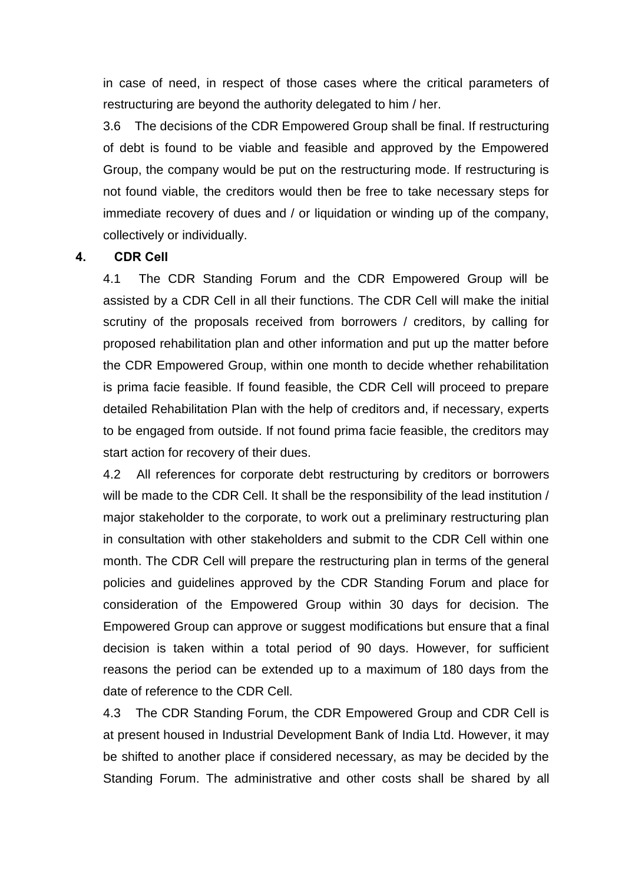in case of need, in respect of those cases where the critical parameters of restructuring are beyond the authority delegated to him / her.

3.6 The decisions of the CDR Empowered Group shall be final. If restructuring of debt is found to be viable and feasible and approved by the Empowered Group, the company would be put on the restructuring mode. If restructuring is not found viable, the creditors would then be free to take necessary steps for immediate recovery of dues and / or liquidation or winding up of the company, collectively or individually.

# **4. CDR Cell**

4.1 The CDR Standing Forum and the CDR Empowered Group will be assisted by a CDR Cell in all their functions. The CDR Cell will make the initial scrutiny of the proposals received from borrowers / creditors, by calling for proposed rehabilitation plan and other information and put up the matter before the CDR Empowered Group, within one month to decide whether rehabilitation is prima facie feasible. If found feasible, the CDR Cell will proceed to prepare detailed Rehabilitation Plan with the help of creditors and, if necessary, experts to be engaged from outside. If not found prima facie feasible, the creditors may start action for recovery of their dues.

4.2 All references for corporate debt restructuring by creditors or borrowers will be made to the CDR Cell. It shall be the responsibility of the lead institution / major stakeholder to the corporate, to work out a preliminary restructuring plan in consultation with other stakeholders and submit to the CDR Cell within one month. The CDR Cell will prepare the restructuring plan in terms of the general policies and guidelines approved by the CDR Standing Forum and place for consideration of the Empowered Group within 30 days for decision. The Empowered Group can approve or suggest modifications but ensure that a final decision is taken within a total period of 90 days. However, for sufficient reasons the period can be extended up to a maximum of 180 days from the date of reference to the CDR Cell.

4.3 The CDR Standing Forum, the CDR Empowered Group and CDR Cell is at present housed in Industrial Development Bank of India Ltd. However, it may be shifted to another place if considered necessary, as may be decided by the Standing Forum. The administrative and other costs shall be shared by all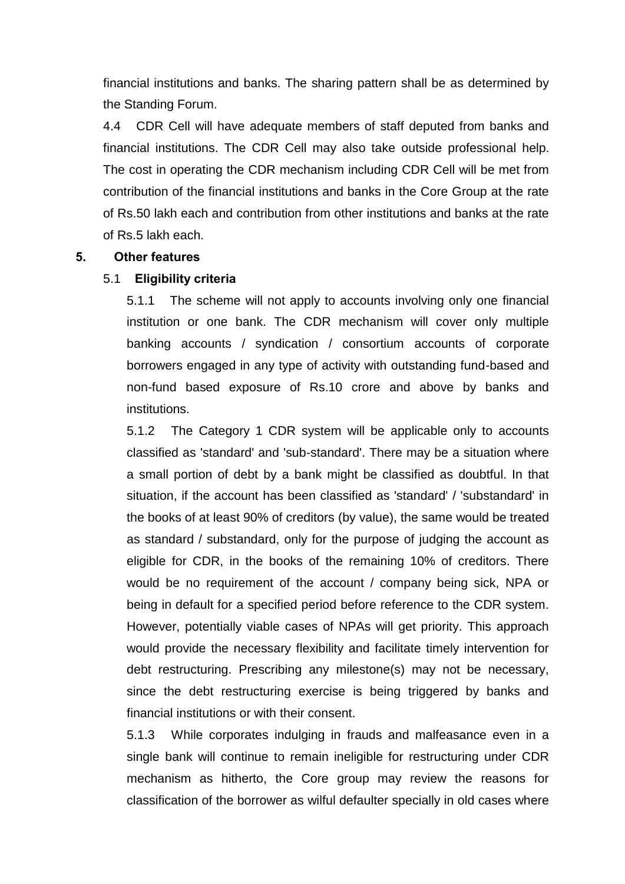financial institutions and banks. The sharing pattern shall be as determined by the Standing Forum.

4.4 CDR Cell will have adequate members of staff deputed from banks and financial institutions. The CDR Cell may also take outside professional help. The cost in operating the CDR mechanism including CDR Cell will be met from contribution of the financial institutions and banks in the Core Group at the rate of Rs.50 lakh each and contribution from other institutions and banks at the rate of Rs.5 lakh each.

### **5. Other features**

### 5.1 **Eligibility criteria**

5.1.1 The scheme will not apply to accounts involving only one financial institution or one bank. The CDR mechanism will cover only multiple banking accounts / syndication / consortium accounts of corporate borrowers engaged in any type of activity with outstanding fund-based and non-fund based exposure of Rs.10 crore and above by banks and institutions.

5.1.2 The Category 1 CDR system will be applicable only to accounts classified as 'standard' and 'sub-standard'. There may be a situation where a small portion of debt by a bank might be classified as doubtful. In that situation, if the account has been classified as 'standard' / 'substandard' in the books of at least 90% of creditors (by value), the same would be treated as standard / substandard, only for the purpose of judging the account as eligible for CDR, in the books of the remaining 10% of creditors. There would be no requirement of the account / company being sick, NPA or being in default for a specified period before reference to the CDR system. However, potentially viable cases of NPAs will get priority. This approach would provide the necessary flexibility and facilitate timely intervention for debt restructuring. Prescribing any milestone(s) may not be necessary, since the debt restructuring exercise is being triggered by banks and financial institutions or with their consent.

5.1.3 While corporates indulging in frauds and malfeasance even in a single bank will continue to remain ineligible for restructuring under CDR mechanism as hitherto, the Core group may review the reasons for classification of the borrower as wilful defaulter specially in old cases where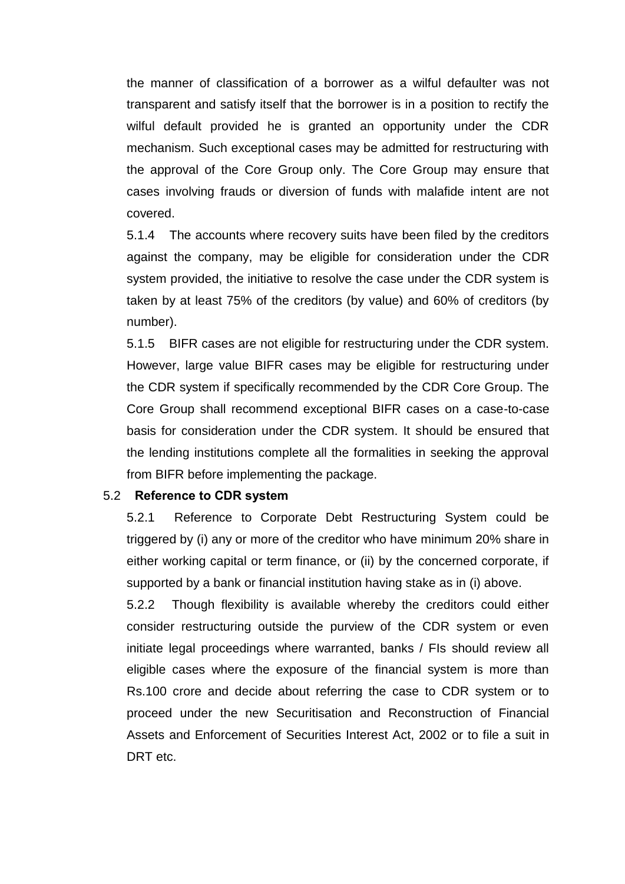the manner of classification of a borrower as a wilful defaulter was not transparent and satisfy itself that the borrower is in a position to rectify the wilful default provided he is granted an opportunity under the CDR mechanism. Such exceptional cases may be admitted for restructuring with the approval of the Core Group only. The Core Group may ensure that cases involving frauds or diversion of funds with malafide intent are not covered.

5.1.4 The accounts where recovery suits have been filed by the creditors against the company, may be eligible for consideration under the CDR system provided, the initiative to resolve the case under the CDR system is taken by at least 75% of the creditors (by value) and 60% of creditors (by number).

5.1.5 BIFR cases are not eligible for restructuring under the CDR system. However, large value BIFR cases may be eligible for restructuring under the CDR system if specifically recommended by the CDR Core Group. The Core Group shall recommend exceptional BIFR cases on a case-to-case basis for consideration under the CDR system. It should be ensured that the lending institutions complete all the formalities in seeking the approval from BIFR before implementing the package.

#### 5.2 **Reference to CDR system**

5.2.1 Reference to Corporate Debt Restructuring System could be triggered by (i) any or more of the creditor who have minimum 20% share in either working capital or term finance, or (ii) by the concerned corporate, if supported by a bank or financial institution having stake as in (i) above.

5.2.2 Though flexibility is available whereby the creditors could either consider restructuring outside the purview of the CDR system or even initiate legal proceedings where warranted, banks / FIs should review all eligible cases where the exposure of the financial system is more than Rs.100 crore and decide about referring the case to CDR system or to proceed under the new Securitisation and Reconstruction of Financial Assets and Enforcement of Securities Interest Act, 2002 or to file a suit in DRT etc.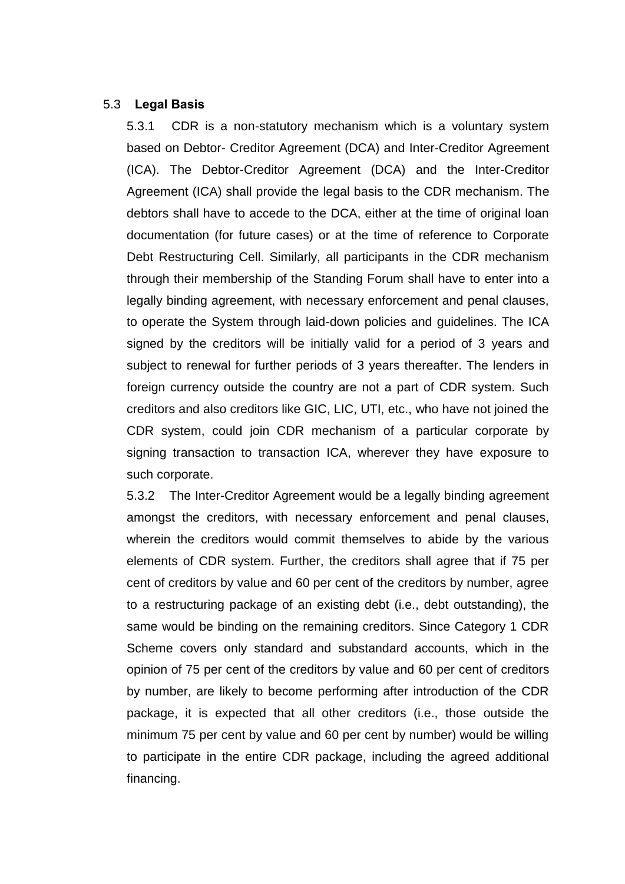#### 5.3 **Legal Basis**

5.3.1 CDR is a non-statutory mechanism which is a voluntary system based on Debtor- Creditor Agreement (DCA) and Inter-Creditor Agreement (ICA). The Debtor-Creditor Agreement (DCA) and the Inter-Creditor Agreement (ICA) shall provide the legal basis to the CDR mechanism. The debtors shall have to accede to the DCA, either at the time of original loan documentation (for future cases) or at the time of reference to Corporate Debt Restructuring Cell. Similarly, all participants in the CDR mechanism through their membership of the Standing Forum shall have to enter into a legally binding agreement, with necessary enforcement and penal clauses, to operate the System through laid-down policies and guidelines. The ICA signed by the creditors will be initially valid for a period of 3 years and subject to renewal for further periods of 3 years thereafter. The lenders in foreign currency outside the country are not a part of CDR system. Such creditors and also creditors like GIC, LIC, UTI, etc., who have not joined the CDR system, could join CDR mechanism of a particular corporate by signing transaction to transaction ICA, wherever they have exposure to such corporate.

5.3.2 The Inter-Creditor Agreement would be a legally binding agreement amongst the creditors, with necessary enforcement and penal clauses, wherein the creditors would commit themselves to abide by the various elements of CDR system. Further, the creditors shall agree that if 75 per cent of creditors by value and 60 per cent of the creditors by number, agree to a restructuring package of an existing debt (i.e., debt outstanding), the same would be binding on the remaining creditors. Since Category 1 CDR Scheme covers only standard and substandard accounts, which in the opinion of 75 per cent of the creditors by value and 60 per cent of creditors by number, are likely to become performing after introduction of the CDR package, it is expected that all other creditors (i.e., those outside the minimum 75 per cent by value and 60 per cent by number) would be willing to participate in the entire CDR package, including the agreed additional financing.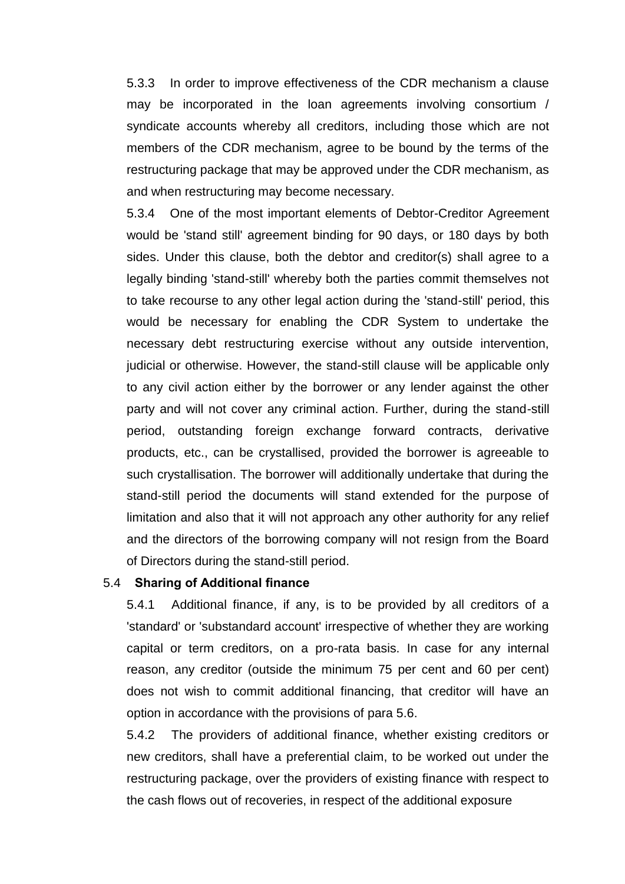5.3.3 In order to improve effectiveness of the CDR mechanism a clause may be incorporated in the loan agreements involving consortium / syndicate accounts whereby all creditors, including those which are not members of the CDR mechanism, agree to be bound by the terms of the restructuring package that may be approved under the CDR mechanism, as and when restructuring may become necessary.

5.3.4 One of the most important elements of Debtor-Creditor Agreement would be 'stand still' agreement binding for 90 days, or 180 days by both sides. Under this clause, both the debtor and creditor(s) shall agree to a legally binding 'stand-still' whereby both the parties commit themselves not to take recourse to any other legal action during the 'stand-still' period, this would be necessary for enabling the CDR System to undertake the necessary debt restructuring exercise without any outside intervention, judicial or otherwise. However, the stand-still clause will be applicable only to any civil action either by the borrower or any lender against the other party and will not cover any criminal action. Further, during the stand-still period, outstanding foreign exchange forward contracts, derivative products, etc., can be crystallised, provided the borrower is agreeable to such crystallisation. The borrower will additionally undertake that during the stand-still period the documents will stand extended for the purpose of limitation and also that it will not approach any other authority for any relief and the directors of the borrowing company will not resign from the Board of Directors during the stand-still period.

#### 5.4 **Sharing of Additional finance**

5.4.1 Additional finance, if any, is to be provided by all creditors of a 'standard' or 'substandard account' irrespective of whether they are working capital or term creditors, on a pro-rata basis. In case for any internal reason, any creditor (outside the minimum 75 per cent and 60 per cent) does not wish to commit additional financing, that creditor will have an option in accordance with the provisions of para 5.6.

5.4.2 The providers of additional finance, whether existing creditors or new creditors, shall have a preferential claim, to be worked out under the restructuring package, over the providers of existing finance with respect to the cash flows out of recoveries, in respect of the additional exposure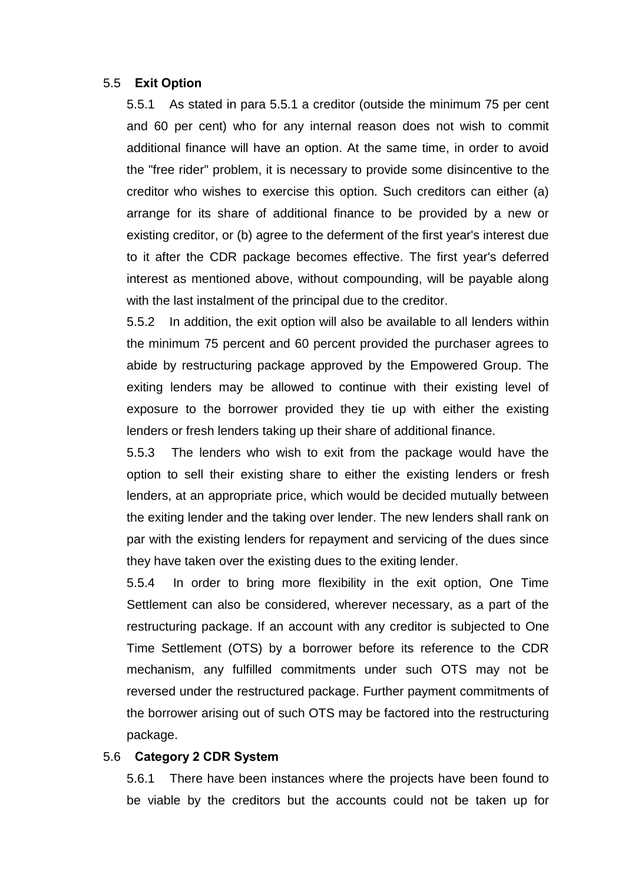#### 5.5 **Exit Option**

5.5.1 As stated in para 5.5.1 a creditor (outside the minimum 75 per cent and 60 per cent) who for any internal reason does not wish to commit additional finance will have an option. At the same time, in order to avoid the "free rider" problem, it is necessary to provide some disincentive to the creditor who wishes to exercise this option. Such creditors can either (a) arrange for its share of additional finance to be provided by a new or existing creditor, or (b) agree to the deferment of the first year's interest due to it after the CDR package becomes effective. The first year's deferred interest as mentioned above, without compounding, will be payable along with the last instalment of the principal due to the creditor.

5.5.2 In addition, the exit option will also be available to all lenders within the minimum 75 percent and 60 percent provided the purchaser agrees to abide by restructuring package approved by the Empowered Group. The exiting lenders may be allowed to continue with their existing level of exposure to the borrower provided they tie up with either the existing lenders or fresh lenders taking up their share of additional finance.

5.5.3 The lenders who wish to exit from the package would have the option to sell their existing share to either the existing lenders or fresh lenders, at an appropriate price, which would be decided mutually between the exiting lender and the taking over lender. The new lenders shall rank on par with the existing lenders for repayment and servicing of the dues since they have taken over the existing dues to the exiting lender.

5.5.4 In order to bring more flexibility in the exit option, One Time Settlement can also be considered, wherever necessary, as a part of the restructuring package. If an account with any creditor is subjected to One Time Settlement (OTS) by a borrower before its reference to the CDR mechanism, any fulfilled commitments under such OTS may not be reversed under the restructured package. Further payment commitments of the borrower arising out of such OTS may be factored into the restructuring package.

#### 5.6 **Category 2 CDR System**

5.6.1 There have been instances where the projects have been found to be viable by the creditors but the accounts could not be taken up for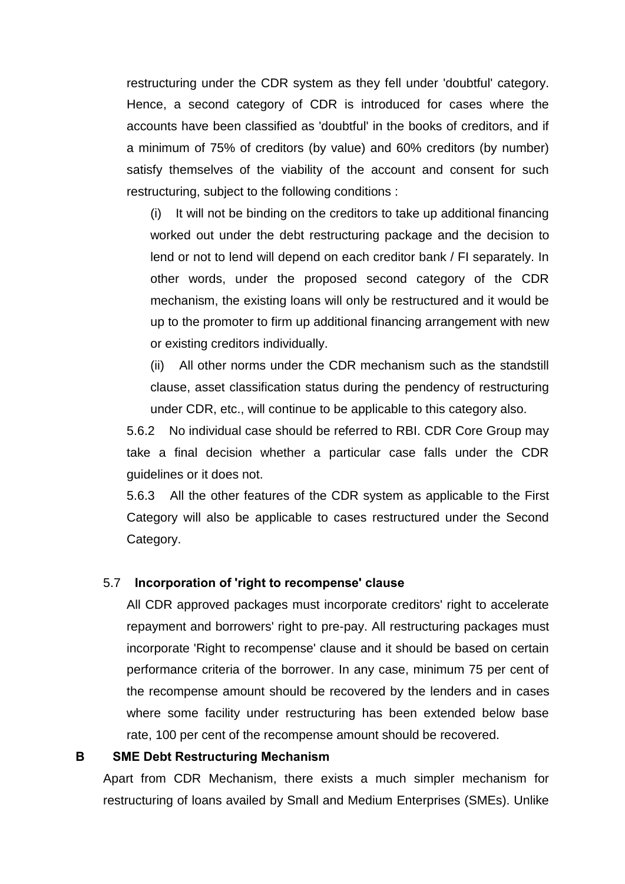restructuring under the CDR system as they fell under 'doubtful' category. Hence, a second category of CDR is introduced for cases where the accounts have been classified as 'doubtful' in the books of creditors, and if a minimum of 75% of creditors (by value) and 60% creditors (by number) satisfy themselves of the viability of the account and consent for such restructuring, subject to the following conditions :

(i) It will not be binding on the creditors to take up additional financing worked out under the debt restructuring package and the decision to lend or not to lend will depend on each creditor bank / FI separately. In other words, under the proposed second category of the CDR mechanism, the existing loans will only be restructured and it would be up to the promoter to firm up additional financing arrangement with new or existing creditors individually.

(ii) All other norms under the CDR mechanism such as the standstill clause, asset classification status during the pendency of restructuring under CDR, etc., will continue to be applicable to this category also.

5.6.2 No individual case should be referred to RBI. CDR Core Group may take a final decision whether a particular case falls under the CDR guidelines or it does not.

5.6.3 All the other features of the CDR system as applicable to the First Category will also be applicable to cases restructured under the Second Category.

#### 5.7 **Incorporation of 'right to recompense' clause**

All CDR approved packages must incorporate creditors' right to accelerate repayment and borrowers' right to pre-pay. All restructuring packages must incorporate 'Right to recompense' clause and it should be based on certain performance criteria of the borrower. In any case, minimum 75 per cent of the recompense amount should be recovered by the lenders and in cases where some facility under restructuring has been extended below base rate, 100 per cent of the recompense amount should be recovered.

#### **B SME Debt Restructuring Mechanism**

Apart from CDR Mechanism, there exists a much simpler mechanism for restructuring of loans availed by Small and Medium Enterprises (SMEs). Unlike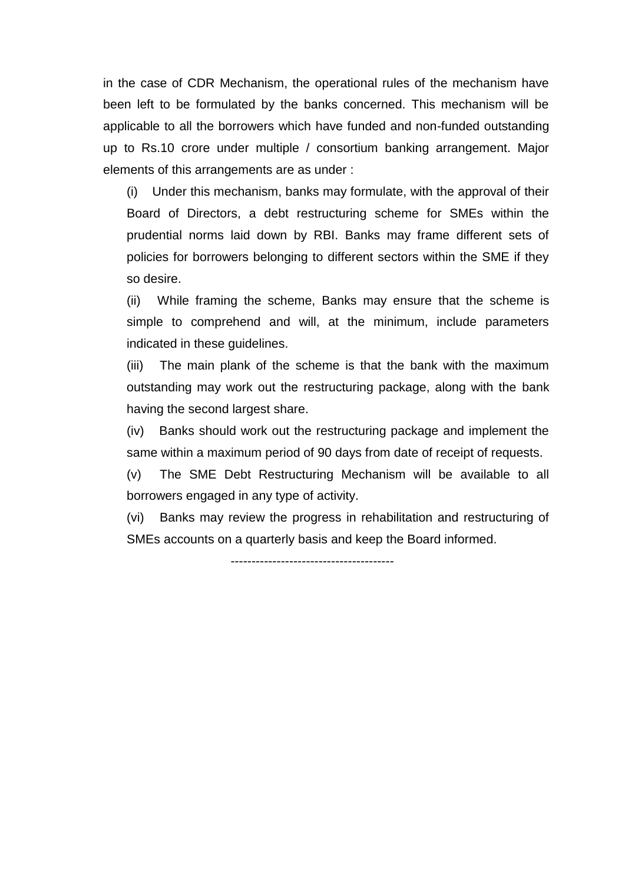in the case of CDR Mechanism, the operational rules of the mechanism have been left to be formulated by the banks concerned. This mechanism will be applicable to all the borrowers which have funded and non-funded outstanding up to Rs.10 crore under multiple / consortium banking arrangement. Major elements of this arrangements are as under :

(i) Under this mechanism, banks may formulate, with the approval of their Board of Directors, a debt restructuring scheme for SMEs within the prudential norms laid down by RBI. Banks may frame different sets of policies for borrowers belonging to different sectors within the SME if they so desire.

(ii) While framing the scheme, Banks may ensure that the scheme is simple to comprehend and will, at the minimum, include parameters indicated in these guidelines.

(iii) The main plank of the scheme is that the bank with the maximum outstanding may work out the restructuring package, along with the bank having the second largest share.

(iv) Banks should work out the restructuring package and implement the same within a maximum period of 90 days from date of receipt of requests.

(v) The SME Debt Restructuring Mechanism will be available to all borrowers engaged in any type of activity.

(vi) Banks may review the progress in rehabilitation and restructuring of SMEs accounts on a quarterly basis and keep the Board informed.

---------------------------------------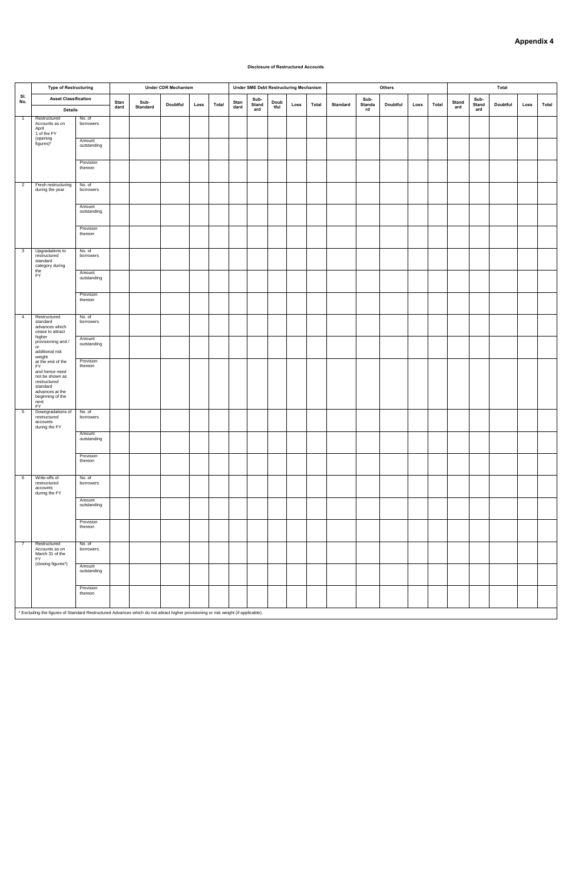#### **Disclosure of Restructured Accounts**

#### **Appendix 4**

|                 | <b>Type of Restructuring</b>                                                                                                                         |                       | <b>Under CDR Mechanism</b> |                         |                 |      | <b>Under SME Debt Restructuring Mechanism</b> |              |                      |              | Others |       |          |                             | Total           |      |       |              |                      |                 |      |       |
|-----------------|------------------------------------------------------------------------------------------------------------------------------------------------------|-----------------------|----------------------------|-------------------------|-----------------|------|-----------------------------------------------|--------------|----------------------|--------------|--------|-------|----------|-----------------------------|-----------------|------|-------|--------------|----------------------|-----------------|------|-------|
| SI.<br>No.      | <b>Asset Classification</b>                                                                                                                          |                       | Stan<br>dard               | Sub-<br><b>Standard</b> | <b>Doubtful</b> | Loss | Total                                         | Stan<br>dard | Sub-<br>Stand<br>ard | Doub<br>tful | Loss   | Total | Standard | Sub-<br><b>Standa</b><br>rd | <b>Doubtful</b> | Loss | Total | Stand<br>ard | Sub-<br>Stand<br>ard | <b>Doubtful</b> | Loss | Total |
| $\overline{1}$  | Details<br>Restructured                                                                                                                              | No. of                |                            |                         |                 |      |                                               |              |                      |              |        |       |          |                             |                 |      |       |              |                      |                 |      |       |
|                 | Accounts as on<br>April<br>1 of the FY                                                                                                               | borrowers             |                            |                         |                 |      |                                               |              |                      |              |        |       |          |                             |                 |      |       |              |                      |                 |      |       |
|                 | (opening<br>figures)*                                                                                                                                | Amount<br>outstanding |                            |                         |                 |      |                                               |              |                      |              |        |       |          |                             |                 |      |       |              |                      |                 |      |       |
|                 |                                                                                                                                                      | Provision             |                            |                         |                 |      |                                               |              |                      |              |        |       |          |                             |                 |      |       |              |                      |                 |      |       |
|                 |                                                                                                                                                      | thereon               |                            |                         |                 |      |                                               |              |                      |              |        |       |          |                             |                 |      |       |              |                      |                 |      |       |
| $\overline{2}$  | Fresh restructuring<br>during the year                                                                                                               | No. of<br>borrowers   |                            |                         |                 |      |                                               |              |                      |              |        |       |          |                             |                 |      |       |              |                      |                 |      |       |
|                 |                                                                                                                                                      | Amount<br>outstanding |                            |                         |                 |      |                                               |              |                      |              |        |       |          |                             |                 |      |       |              |                      |                 |      |       |
|                 |                                                                                                                                                      | Provision<br>thereon  |                            |                         |                 |      |                                               |              |                      |              |        |       |          |                             |                 |      |       |              |                      |                 |      |       |
| $\mathbf{3}$    | Upgradations to                                                                                                                                      | No. of                |                            |                         |                 |      |                                               |              |                      |              |        |       |          |                             |                 |      |       |              |                      |                 |      |       |
|                 | restructured<br>standard<br>category during                                                                                                          | borrowers             |                            |                         |                 |      |                                               |              |                      |              |        |       |          |                             |                 |      |       |              |                      |                 |      |       |
|                 | the<br><b>FY</b>                                                                                                                                     | Amount<br>outstanding |                            |                         |                 |      |                                               |              |                      |              |        |       |          |                             |                 |      |       |              |                      |                 |      |       |
|                 |                                                                                                                                                      | Provision<br>thereon  |                            |                         |                 |      |                                               |              |                      |              |        |       |          |                             |                 |      |       |              |                      |                 |      |       |
| $\overline{4}$  | Restructured                                                                                                                                         | No. of                |                            |                         |                 |      |                                               |              |                      |              |        |       |          |                             |                 |      |       |              |                      |                 |      |       |
|                 | standard<br>advances which<br>cease to attract<br>higher                                                                                             | borrowers             |                            |                         |                 |      |                                               |              |                      |              |        |       |          |                             |                 |      |       |              |                      |                 |      |       |
|                 | provisioning and /<br>or<br>additional risk<br>weight                                                                                                | Amount<br>outstanding |                            |                         |                 |      |                                               |              |                      |              |        |       |          |                             |                 |      |       |              |                      |                 |      |       |
|                 | at the end of the<br><b>FY</b><br>and hence need<br>not be shown as<br>restructured<br>standard<br>advances at the<br>beginning of the<br>next<br>FY | Provision<br>thereon  |                            |                         |                 |      |                                               |              |                      |              |        |       |          |                             |                 |      |       |              |                      |                 |      |       |
| $5\overline{5}$ | Downgradations of<br>restructured<br>accounts<br>during the FY                                                                                       | No. of<br>borrowers   |                            |                         |                 |      |                                               |              |                      |              |        |       |          |                             |                 |      |       |              |                      |                 |      |       |
|                 |                                                                                                                                                      | Amount<br>outstanding |                            |                         |                 |      |                                               |              |                      |              |        |       |          |                             |                 |      |       |              |                      |                 |      |       |
|                 |                                                                                                                                                      | Provision<br>thereon  |                            |                         |                 |      |                                               |              |                      |              |        |       |          |                             |                 |      |       |              |                      |                 |      |       |
| 6               | Write-offs of                                                                                                                                        | No. of                |                            |                         |                 |      |                                               |              |                      |              |        |       |          |                             |                 |      |       |              |                      |                 |      |       |
|                 | restructured<br>accounts<br>during the FY                                                                                                            | borrowers             |                            |                         |                 |      |                                               |              |                      |              |        |       |          |                             |                 |      |       |              |                      |                 |      |       |
|                 |                                                                                                                                                      | Amount<br>outstanding |                            |                         |                 |      |                                               |              |                      |              |        |       |          |                             |                 |      |       |              |                      |                 |      |       |
|                 |                                                                                                                                                      | Provision<br>thereon  |                            |                         |                 |      |                                               |              |                      |              |        |       |          |                             |                 |      |       |              |                      |                 |      |       |
| $\overline{7}$  | Restructured                                                                                                                                         | No. of                |                            |                         |                 |      |                                               |              |                      |              |        |       |          |                             |                 |      |       |              |                      |                 |      |       |
|                 | Accounts as on<br>March 31 of the<br><b>FY</b><br>(closing figures*)                                                                                 | borrowers             |                            |                         |                 |      |                                               |              |                      |              |        |       |          |                             |                 |      |       |              |                      |                 |      |       |
|                 |                                                                                                                                                      | Amount<br>outstanding |                            |                         |                 |      |                                               |              |                      |              |        |       |          |                             |                 |      |       |              |                      |                 |      |       |
|                 |                                                                                                                                                      | Provision<br>thereon  |                            |                         |                 |      |                                               |              |                      |              |        |       |          |                             |                 |      |       |              |                      |                 |      |       |
|                 | * Excluding the figures of Standard Restructured Advances which do not attract higher provisioning or risk weight (if applicable).                   |                       |                            |                         |                 |      |                                               |              |                      |              |        |       |          |                             |                 |      |       |              |                      |                 |      |       |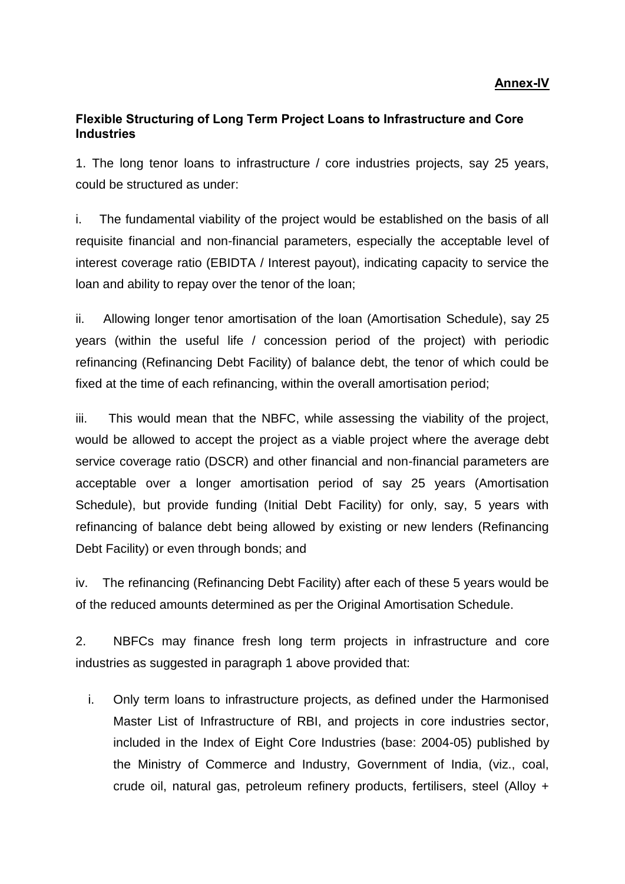# **Annex-IV**

# **Flexible Structuring of Long Term Project Loans to Infrastructure and Core Industries**

1. The long tenor loans to infrastructure / core industries projects, say 25 years, could be structured as under:

i. The fundamental viability of the project would be established on the basis of all requisite financial and non-financial parameters, especially the acceptable level of interest coverage ratio (EBIDTA / Interest payout), indicating capacity to service the loan and ability to repay over the tenor of the loan;

ii. Allowing longer tenor amortisation of the loan (Amortisation Schedule), say 25 years (within the useful life / concession period of the project) with periodic refinancing (Refinancing Debt Facility) of balance debt, the tenor of which could be fixed at the time of each refinancing, within the overall amortisation period;

iii. This would mean that the NBFC, while assessing the viability of the project, would be allowed to accept the project as a viable project where the average debt service coverage ratio (DSCR) and other financial and non-financial parameters are acceptable over a longer amortisation period of say 25 years (Amortisation Schedule), but provide funding (Initial Debt Facility) for only, say, 5 years with refinancing of balance debt being allowed by existing or new lenders (Refinancing Debt Facility) or even through bonds; and

iv. The refinancing (Refinancing Debt Facility) after each of these 5 years would be of the reduced amounts determined as per the Original Amortisation Schedule.

2. NBFCs may finance fresh long term projects in infrastructure and core industries as suggested in paragraph 1 above provided that:

i. Only term loans to infrastructure projects, as defined under the Harmonised Master List of Infrastructure of RBI, and projects in core industries sector, included in the Index of Eight Core Industries (base: 2004-05) published by the Ministry of Commerce and Industry, Government of India, (viz., coal, crude oil, natural gas, petroleum refinery products, fertilisers, steel (Alloy +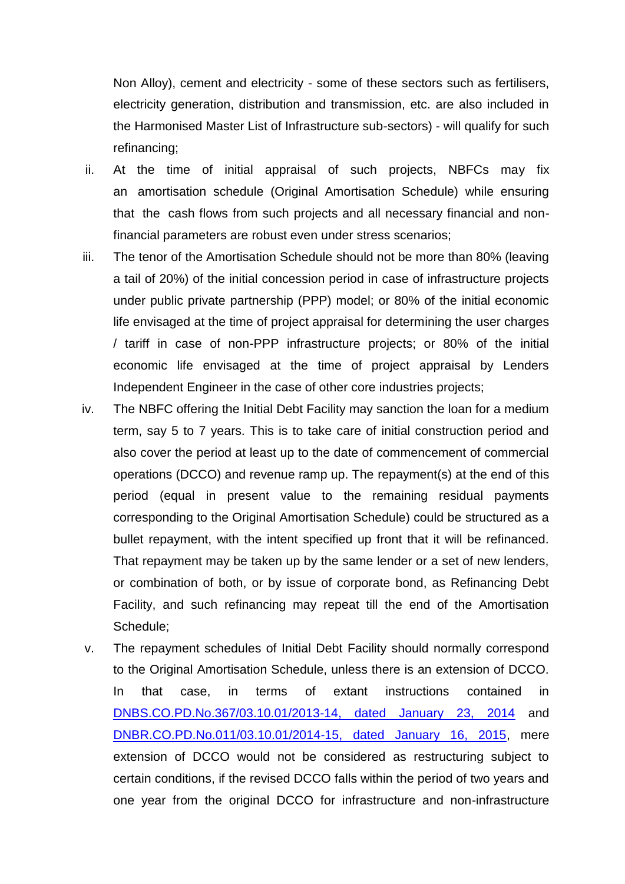Non Alloy), cement and electricity - some of these sectors such as fertilisers, electricity generation, distribution and transmission, etc. are also included in the Harmonised Master List of Infrastructure sub-sectors) - will qualify for such refinancing;

- ii. At the time of initial appraisal of such projects, NBFCs may fix an amortisation schedule (Original Amortisation Schedule) while ensuring that the cash flows from such projects and all necessary financial and nonfinancial parameters are robust even under stress scenarios;
- iii. The tenor of the Amortisation Schedule should not be more than 80% (leaving a tail of 20%) of the initial concession period in case of infrastructure projects under public private partnership (PPP) model; or 80% of the initial economic life envisaged at the time of project appraisal for determining the user charges / tariff in case of non-PPP infrastructure projects; or 80% of the initial economic life envisaged at the time of project appraisal by Lenders Independent Engineer in the case of other core industries projects;
- iv. The NBFC offering the Initial Debt Facility may sanction the loan for a medium term, say 5 to 7 years. This is to take care of initial construction period and also cover the period at least up to the date of commencement of commercial operations (DCCO) and revenue ramp up. The repayment(s) at the end of this period (equal in present value to the remaining residual payments corresponding to the Original Amortisation Schedule) could be structured as a bullet repayment, with the intent specified up front that it will be refinanced. That repayment may be taken up by the same lender or a set of new lenders, or combination of both, or by issue of corporate bond, as Refinancing Debt Facility, and such refinancing may repeat till the end of the Amortisation Schedule;
- v. The repayment schedules of Initial Debt Facility should normally correspond to the Original Amortisation Schedule, unless there is an extension of DCCO. In that case, in terms of extant instructions contained in [DNBS.CO.PD.No.367/03.10.01/2013-14, dated January 23, 2014](https://rbi.org.in/Scripts/NotificationUser.aspx?Id=8706&Mode=0) and [DNBR.CO.PD.No.011/03.10.01/2014-15, dated January 16, 2015,](https://rbi.org.in/Scripts/NotificationUser.aspx?Id=9491&Mode=0) mere extension of DCCO would not be considered as restructuring subject to certain conditions, if the revised DCCO falls within the period of two years and one year from the original DCCO for infrastructure and non-infrastructure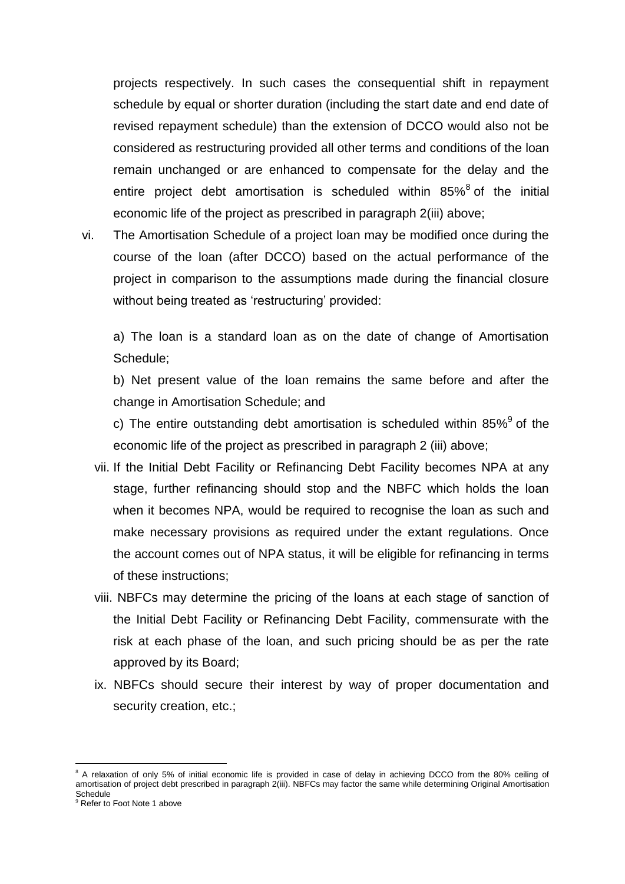projects respectively. In such cases the consequential shift in repayment schedule by equal or shorter duration (including the start date and end date of revised repayment schedule) than the extension of DCCO would also not be considered as restructuring provided all other terms and conditions of the loan remain unchanged or are enhanced to compensate for the delay and the entire project debt amortisation is scheduled within 85%<sup>8</sup> of the initial economic life of the project as prescribed in paragraph 2(iii) above;

vi. The Amortisation Schedule of a project loan may be modified once during the course of the loan (after DCCO) based on the actual performance of the project in comparison to the assumptions made during the financial closure without being treated as 'restructuring' provided:

a) The loan is a standard loan as on the date of change of Amortisation Schedule;

b) Net present value of the loan remains the same before and after the change in Amortisation Schedule; and

c) The entire outstanding debt amortisation is scheduled within 85% $9^9$  of the economic life of the project as prescribed in paragraph 2 (iii) above;

- vii. If the Initial Debt Facility or Refinancing Debt Facility becomes NPA at any stage, further refinancing should stop and the NBFC which holds the loan when it becomes NPA, would be required to recognise the loan as such and make necessary provisions as required under the extant regulations. Once the account comes out of NPA status, it will be eligible for refinancing in terms of these instructions;
- viii. NBFCs may determine the pricing of the loans at each stage of sanction of the Initial Debt Facility or Refinancing Debt Facility, commensurate with the risk at each phase of the loan, and such pricing should be as per the rate approved by its Board;
- ix. NBFCs should secure their interest by way of proper documentation and security creation, etc.;

<u>.</u>

<sup>&</sup>lt;sup>8</sup> A relaxation of only 5% of initial economic life is provided in case of delay in achieving DCCO from the 80% ceiling of amortisation of project debt prescribed in paragraph 2(iii). NBFCs may factor the same while determining Original Amortisation Schedule

<sup>&</sup>lt;sup>9</sup> Refer to Foot Note 1 above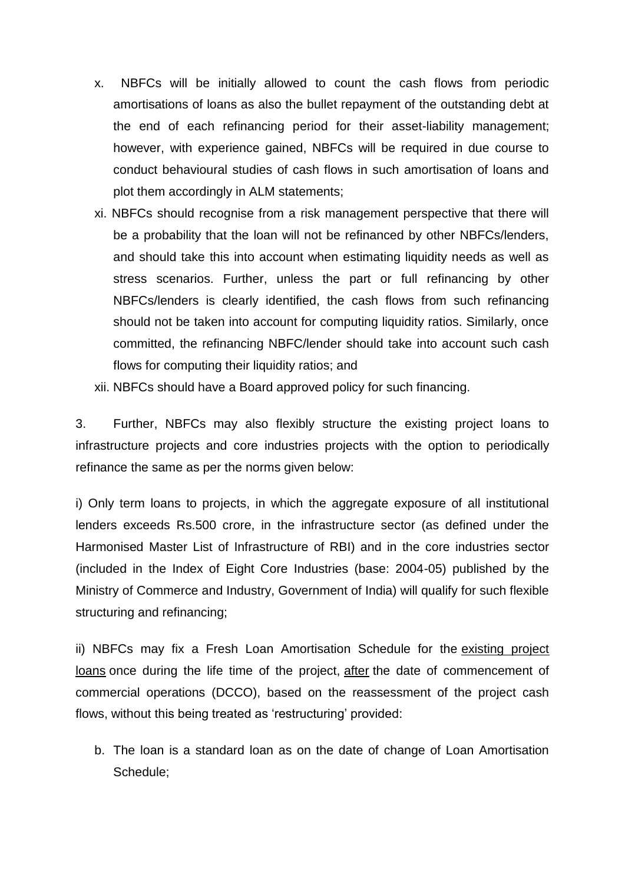- x. NBFCs will be initially allowed to count the cash flows from periodic amortisations of loans as also the bullet repayment of the outstanding debt at the end of each refinancing period for their asset-liability management; however, with experience gained, NBFCs will be required in due course to conduct behavioural studies of cash flows in such amortisation of loans and plot them accordingly in ALM statements;
- xi. NBFCs should recognise from a risk management perspective that there will be a probability that the loan will not be refinanced by other NBFCs/lenders, and should take this into account when estimating liquidity needs as well as stress scenarios. Further, unless the part or full refinancing by other NBFCs/lenders is clearly identified, the cash flows from such refinancing should not be taken into account for computing liquidity ratios. Similarly, once committed, the refinancing NBFC/lender should take into account such cash flows for computing their liquidity ratios; and
- xii. NBFCs should have a Board approved policy for such financing.

3. Further, NBFCs may also flexibly structure the existing project loans to infrastructure projects and core industries projects with the option to periodically refinance the same as per the norms given below:

i) Only term loans to projects, in which the aggregate exposure of all institutional lenders exceeds Rs.500 crore, in the infrastructure sector (as defined under the Harmonised Master List of Infrastructure of RBI) and in the core industries sector (included in the Index of Eight Core Industries (base: 2004-05) published by the Ministry of Commerce and Industry, Government of India) will qualify for such flexible structuring and refinancing;

ii) NBFCs may fix a Fresh Loan Amortisation Schedule for the existing project loans once during the life time of the project, after the date of commencement of commercial operations (DCCO), based on the reassessment of the project cash flows, without this being treated as 'restructuring' provided:

b. The loan is a standard loan as on the date of change of Loan Amortisation Schedule;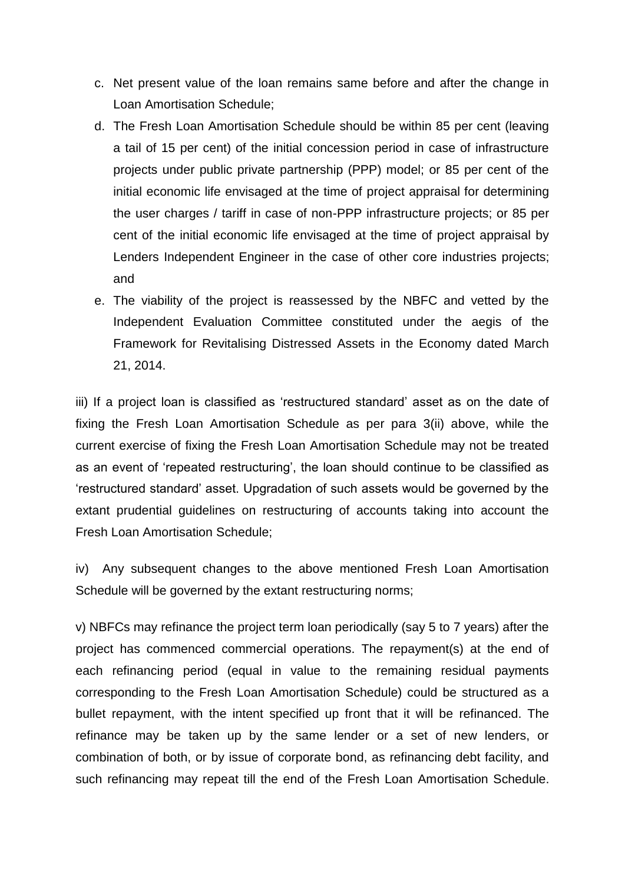- c. Net present value of the loan remains same before and after the change in Loan Amortisation Schedule;
- d. The Fresh Loan Amortisation Schedule should be within 85 per cent (leaving a tail of 15 per cent) of the initial concession period in case of infrastructure projects under public private partnership (PPP) model; or 85 per cent of the initial economic life envisaged at the time of project appraisal for determining the user charges / tariff in case of non-PPP infrastructure projects; or 85 per cent of the initial economic life envisaged at the time of project appraisal by Lenders Independent Engineer in the case of other core industries projects; and
- e. The viability of the project is reassessed by the NBFC and vetted by the Independent Evaluation Committee constituted under the aegis of the Framework for Revitalising Distressed Assets in the Economy dated March 21, 2014.

iii) If a project loan is classified as 'restructured standard' asset as on the date of fixing the Fresh Loan Amortisation Schedule as per para 3(ii) above, while the current exercise of fixing the Fresh Loan Amortisation Schedule may not be treated as an event of 'repeated restructuring', the loan should continue to be classified as 'restructured standard' asset. Upgradation of such assets would be governed by the extant prudential guidelines on restructuring of accounts taking into account the Fresh Loan Amortisation Schedule;

iv) Any subsequent changes to the above mentioned Fresh Loan Amortisation Schedule will be governed by the extant restructuring norms;

v) NBFCs may refinance the project term loan periodically (say 5 to 7 years) after the project has commenced commercial operations. The repayment(s) at the end of each refinancing period (equal in value to the remaining residual payments corresponding to the Fresh Loan Amortisation Schedule) could be structured as a bullet repayment, with the intent specified up front that it will be refinanced. The refinance may be taken up by the same lender or a set of new lenders, or combination of both, or by issue of corporate bond, as refinancing debt facility, and such refinancing may repeat till the end of the Fresh Loan Amortisation Schedule.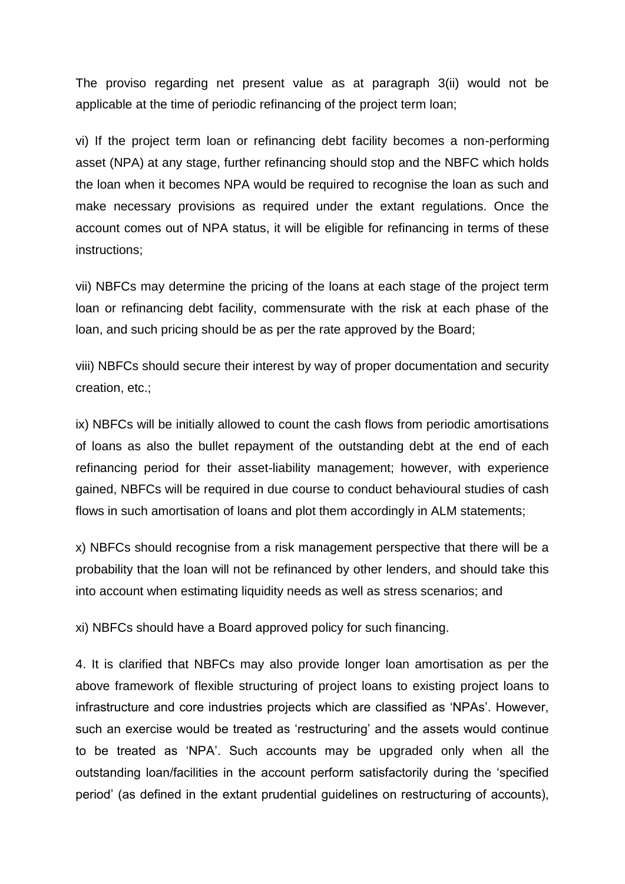The proviso regarding net present value as at paragraph 3(ii) would not be applicable at the time of periodic refinancing of the project term loan;

vi) If the project term loan or refinancing debt facility becomes a non-performing asset (NPA) at any stage, further refinancing should stop and the NBFC which holds the loan when it becomes NPA would be required to recognise the loan as such and make necessary provisions as required under the extant regulations. Once the account comes out of NPA status, it will be eligible for refinancing in terms of these instructions;

vii) NBFCs may determine the pricing of the loans at each stage of the project term loan or refinancing debt facility, commensurate with the risk at each phase of the loan, and such pricing should be as per the rate approved by the Board;

viii) NBFCs should secure their interest by way of proper documentation and security creation, etc.;

ix) NBFCs will be initially allowed to count the cash flows from periodic amortisations of loans as also the bullet repayment of the outstanding debt at the end of each refinancing period for their asset-liability management; however, with experience gained, NBFCs will be required in due course to conduct behavioural studies of cash flows in such amortisation of loans and plot them accordingly in ALM statements;

x) NBFCs should recognise from a risk management perspective that there will be a probability that the loan will not be refinanced by other lenders, and should take this into account when estimating liquidity needs as well as stress scenarios; and

xi) NBFCs should have a Board approved policy for such financing.

4. It is clarified that NBFCs may also provide longer loan amortisation as per the above framework of flexible structuring of project loans to existing project loans to infrastructure and core industries projects which are classified as 'NPAs'. However, such an exercise would be treated as 'restructuring' and the assets would continue to be treated as 'NPA'. Such accounts may be upgraded only when all the outstanding loan/facilities in the account perform satisfactorily during the 'specified period' (as defined in the extant prudential guidelines on restructuring of accounts),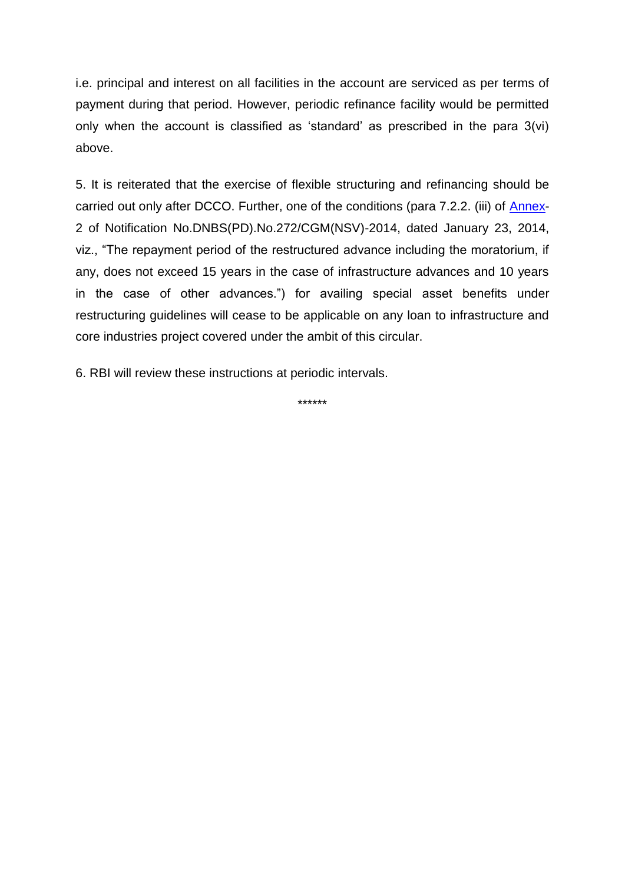i.e. principal and interest on all facilities in the account are serviced as per terms of payment during that period. However, periodic refinance facility would be permitted only when the account is classified as 'standard' as prescribed in the para 3(vi) above.

5. It is reiterated that the exercise of flexible structuring and refinancing should be carried out only after DCCO. Further, one of the conditions (para 7.2.2. (iii) of [Annex-](http://rbidocs.rbi.org.in/rdocs/content/pdfs/NB193230114_EN.pdf)2 of Notification No.DNBS(PD).No.272/CGM(NSV)-2014, dated January 23, 2014, viz., "The repayment period of the restructured advance including the moratorium, if any, does not exceed 15 years in the case of infrastructure advances and 10 years in the case of other advances.") for availing special asset benefits under restructuring guidelines will cease to be applicable on any loan to infrastructure and core industries project covered under the ambit of this circular.

6. RBI will review these instructions at periodic intervals.

\*\*\*\*\*\*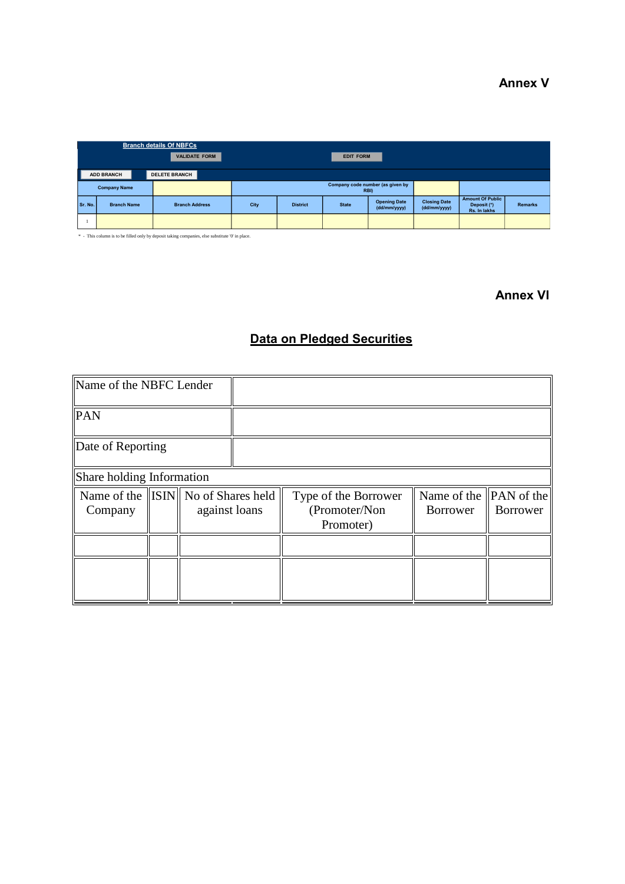# **Annex V**

|                     | <b>Branch details Of NBFCs</b>            |  |  |                       |  |      |                 |                                          |  |                                     |                                                        |                |  |  |  |
|---------------------|-------------------------------------------|--|--|-----------------------|--|------|-----------------|------------------------------------------|--|-------------------------------------|--------------------------------------------------------|----------------|--|--|--|
|                     |                                           |  |  | <b>VALIDATE FORM</b>  |  |      |                 | <b>EDIT FORM</b>                         |  |                                     |                                                        |                |  |  |  |
|                     | <b>DELETE BRANCH</b><br><b>ADD BRANCH</b> |  |  |                       |  |      |                 |                                          |  |                                     |                                                        |                |  |  |  |
| <b>Company Name</b> |                                           |  |  |                       |  |      |                 | Company code number (as given by<br>RBI) |  |                                     |                                                        |                |  |  |  |
| Sr. No.             | <b>Branch Name</b>                        |  |  | <b>Branch Address</b> |  | City | <b>District</b> | <b>State</b>                             |  | <b>Closing Date</b><br>(dd/mm/yyyy) | <b>Amount Of Public</b><br>Deposit (*)<br>Rs. In lakhs | <b>Remarks</b> |  |  |  |
|                     |                                           |  |  |                       |  |      |                 |                                          |  |                                     |                                                        |                |  |  |  |

\* - This column is to be filled only by deposit taking companies, else substitute '0' in place.

**Annex VI**

# **Data on Pledged Securities**

| Name of the NBFC Lender   |  |                                                         |  |                                                    |                                                |                 |
|---------------------------|--|---------------------------------------------------------|--|----------------------------------------------------|------------------------------------------------|-----------------|
| PAN                       |  |                                                         |  |                                                    |                                                |                 |
| Date of Reporting         |  |                                                         |  |                                                    |                                                |                 |
| Share holding Information |  |                                                         |  |                                                    |                                                |                 |
| Company                   |  | Name of the   ISIN   No of Shares held<br>against loans |  | Type of the Borrower<br>(Promoter/Non<br>Promoter) | Name of the $\ $ PAN of the<br><b>Borrower</b> | <b>Borrower</b> |
|                           |  |                                                         |  |                                                    |                                                |                 |
|                           |  |                                                         |  |                                                    |                                                |                 |